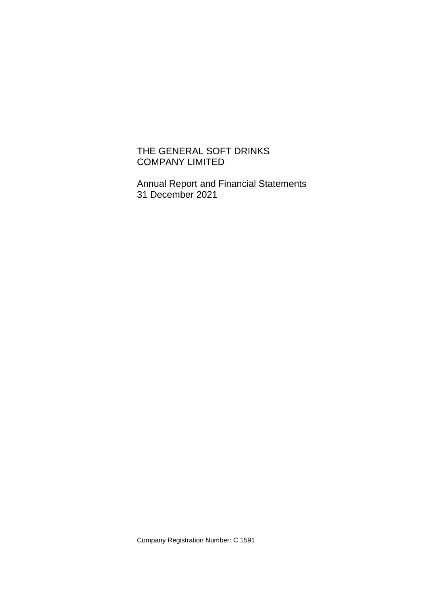## THE GENERAL SOFT DRINKS COMPANY LIMITED

Annual Report and Financial Statements 31 December 2021

Company Registration Number: C 1591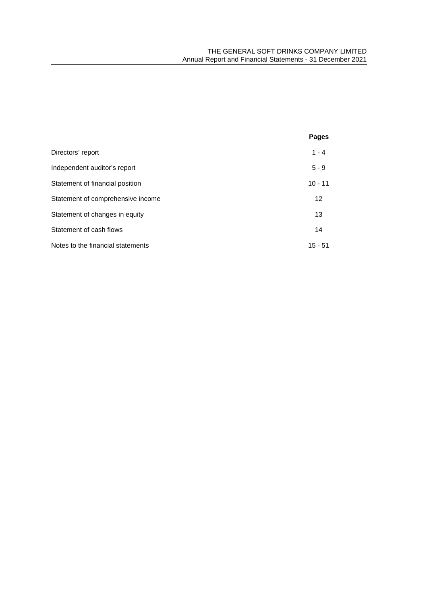|                                   | Pages     |
|-----------------------------------|-----------|
| Directors' report                 | $1 - 4$   |
| Independent auditor's report      | $5 - 9$   |
| Statement of financial position   | $10 - 11$ |
| Statement of comprehensive income | 12        |
| Statement of changes in equity    | 13        |
| Statement of cash flows           | 14        |
| Notes to the financial statements | $15 - 51$ |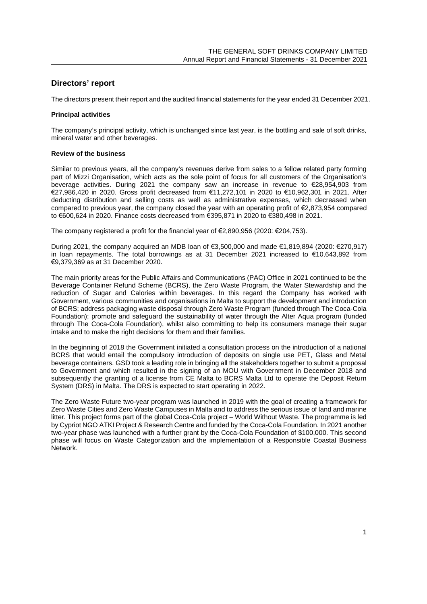## **Directors' report**

The directors present their report and the audited financial statements for the year ended 31 December 2021.

## **Principal activities**

The company's principal activity, which is unchanged since last year, is the bottling and sale of soft drinks, mineral water and other beverages.

## **Review of the business**

Similar to previous years, all the company's revenues derive from sales to a fellow related party forming part of Mizzi Organisation, which acts as the sole point of focus for all customers of the Organisation's beverage activities. During 2021 the company saw an increase in revenue to €28,954,903 from €27,986,420 in 2020. Gross profit decreased from €11,272,101 in 2020 to €10,962,301 in 2021. After deducting distribution and selling costs as well as administrative expenses, which decreased when compared to previous year, the company closed the year with an operating profit of €2,873,954 compared to €600,624 in 2020. Finance costs decreased from €395,871 in 2020 to €380,498 in 2021.

The company registered a profit for the financial year of €2,890,956 (2020: €204,753).

During 2021, the company acquired an MDB loan of €3,500,000 and made €1,819,894 (2020: €270,917) in loan repayments. The total borrowings as at 31 December 2021 increased to €10,643,892 from €9,379,369 as at 31 December 2020.

The main priority areas for the Public Affairs and Communications (PAC) Office in 2021 continued to be the Beverage Container Refund Scheme (BCRS), the Zero Waste Program, the Water Stewardship and the reduction of Sugar and Calories within beverages. In this regard the Company has worked with Government, various communities and organisations in Malta to support the development and introduction of BCRS; address packaging waste disposal through Zero Waste Program (funded through The Coca-Cola Foundation); promote and safeguard the sustainability of water through the Alter Aqua program (funded through The Coca-Cola Foundation), whilst also committing to help its consumers manage their sugar intake and to make the right decisions for them and their families.

In the beginning of 2018 the Government initiated a consultation process on the introduction of a national BCRS that would entail the compulsory introduction of deposits on single use PET, Glass and Metal beverage containers. GSD took a leading role in bringing all the stakeholders together to submit a proposal to Government and which resulted in the signing of an MOU with Government in December 2018 and subsequently the granting of a license from CE Malta to BCRS Malta Ltd to operate the Deposit Return System (DRS) in Malta. The DRS is expected to start operating in 2022.

The Zero Waste Future two-year program was launched in 2019 with the goal of creating a framework for Zero Waste Cities and Zero Waste Campuses in Malta and to address the serious issue of land and marine litter. This project forms part of the global Coca-Cola project – World Without Waste. The programme is led by Cypriot NGO ATKI Project & Research Centre and funded by the Coca-Cola Foundation. In 2021 another two-year phase was launched with a further grant by the Coca-Cola Foundation of \$100,000. This second phase will focus on Waste Categorization and the implementation of a Responsible Coastal Business Network.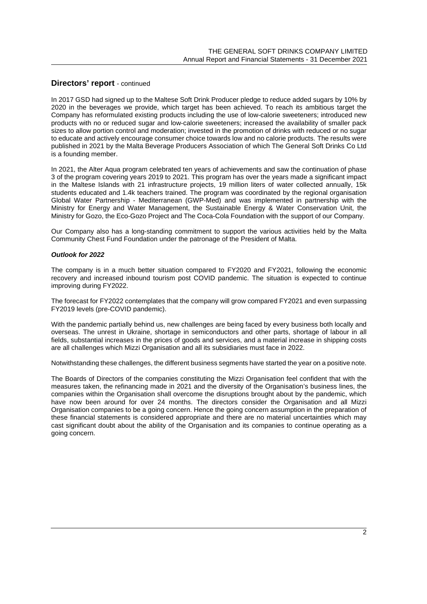## **Directors' report** - continued

In 2017 GSD had signed up to the Maltese Soft Drink Producer pledge to reduce added sugars by 10% by 2020 in the beverages we provide, which target has been achieved. To reach its ambitious target the Company has reformulated existing products including the use of low-calorie sweeteners; introduced new products with no or reduced sugar and low-calorie sweeteners; increased the availability of smaller pack sizes to allow portion control and moderation; invested in the promotion of drinks with reduced or no sugar to educate and actively encourage consumer choice towards low and no calorie products. The results were published in 2021 by the Malta Beverage Producers Association of which The General Soft Drinks Co Ltd is a founding member.

In 2021, the Alter Aqua program celebrated ten years of achievements and saw the continuation of phase 3 of the program covering years 2019 to 2021. This program has over the years made a significant impact in the Maltese Islands with 21 infrastructure projects, 19 million liters of water collected annually, 15k students educated and 1.4k teachers trained. The program was coordinated by the regional organisation Global Water Partnership - Mediterranean (GWP-Med) and was implemented in partnership with the Ministry for Energy and Water Management, the Sustainable Energy & Water Conservation Unit, the Ministry for Gozo, the Eco-Gozo Project and The Coca-Cola Foundation with the support of our Company.

Our Company also has a long-standing commitment to support the various activities held by the Malta Community Chest Fund Foundation under the patronage of the President of Malta.

## *Outlook for 2022*

The company is in a much better situation compared to FY2020 and FY2021, following the economic recovery and increased inbound tourism post COVID pandemic. The situation is expected to continue improving during FY2022.

The forecast for FY2022 contemplates that the company will grow compared FY2021 and even surpassing FY2019 levels (pre-COVID pandemic).

With the pandemic partially behind us, new challenges are being faced by every business both locally and overseas. The unrest in Ukraine, shortage in semiconductors and other parts, shortage of labour in all fields, substantial increases in the prices of goods and services, and a material increase in shipping costs are all challenges which Mizzi Organisation and all its subsidiaries must face in 2022.

Notwithstanding these challenges, the different business segments have started the year on a positive note.

The Boards of Directors of the companies constituting the Mizzi Organisation feel confident that with the measures taken, the refinancing made in 2021 and the diversity of the Organisation's business lines, the companies within the Organisation shall overcome the disruptions brought about by the pandemic, which have now been around for over 24 months. The directors consider the Organisation and all Mizzi Organisation companies to be a going concern. Hence the going concern assumption in the preparation of these financial statements is considered appropriate and there are no material uncertainties which may cast significant doubt about the ability of the Organisation and its companies to continue operating as a going concern.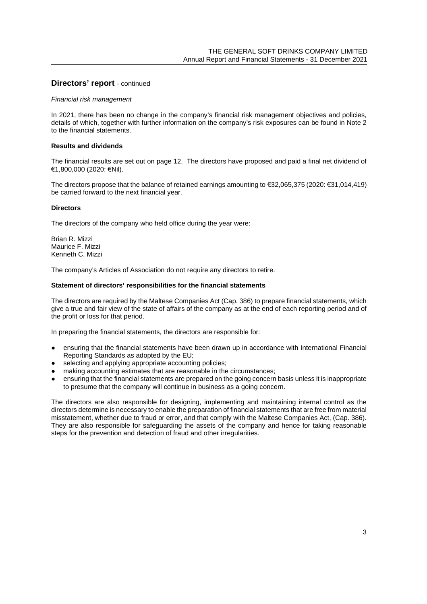## **Directors' report** - continued

### *Financial risk management*

In 2021, there has been no change in the company's financial risk management objectives and policies, details of which, together with further information on the company's risk exposures can be found in Note 2 to the financial statements.

## **Results and dividends**

The financial results are set out on page 12. The directors have proposed and paid a final net dividend of €1,800,000 (2020: €Nil).

The directors propose that the balance of retained earnings amounting to €32,065,375 (2020: €31,014,419) be carried forward to the next financial year.

## **Directors**

The directors of the company who held office during the year were:

Brian R. Mizzi Maurice F. Mizzi Kenneth C. Mizzi

The company's Articles of Association do not require any directors to retire.

## **Statement of directors' responsibilities for the financial statements**

The directors are required by the Maltese Companies Act (Cap. 386) to prepare financial statements, which give a true and fair view of the state of affairs of the company as at the end of each reporting period and of the profit or loss for that period.

In preparing the financial statements, the directors are responsible for:

- ensuring that the financial statements have been drawn up in accordance with International Financial Reporting Standards as adopted by the EU;
- selecting and applying appropriate accounting policies;
- making accounting estimates that are reasonable in the circumstances;
- ensuring that the financial statements are prepared on the going concern basis unless it is inappropriate to presume that the company will continue in business as a going concern.

The directors are also responsible for designing, implementing and maintaining internal control as the directors determine is necessary to enable the preparation of financial statements that are free from material misstatement, whether due to fraud or error, and that comply with the Maltese Companies Act, (Cap. 386). They are also responsible for safeguarding the assets of the company and hence for taking reasonable steps for the prevention and detection of fraud and other irregularities.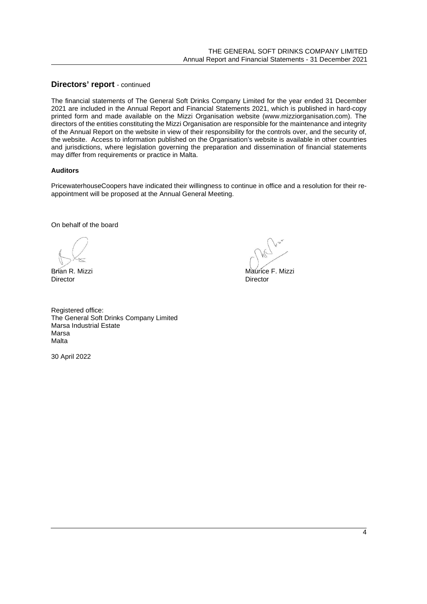## **Directors' report** - continued

The financial statements of The General Soft Drinks Company Limited for the year ended 31 December 2021 are included in the Annual Report and Financial Statements 2021, which is published in hard-copy printed form and made available on the Mizzi Organisation website (www.mizziorganisation.com). The directors of the entities constituting the Mizzi Organisation are responsible for the maintenance and integrity of the Annual Report on the website in view of their responsibility for the controls over, and the security of, the website. Access to information published on the Organisation's website is available in other countries and jurisdictions, where legislation governing the preparation and dissemination of financial statements may differ from requirements or practice in Malta.

## **Auditors**

PricewaterhouseCoopers have indicated their willingness to continue in office and a resolution for their reappointment will be proposed at the Annual General Meeting.

On behalf of the board

Brian R. Mizzi **Maurice F. Mizzi** Maurice F. Mizzi Director Director Director

Registered office: The General Soft Drinks Company Limited Marsa Industrial Estate Marsa Malta

30 April 2022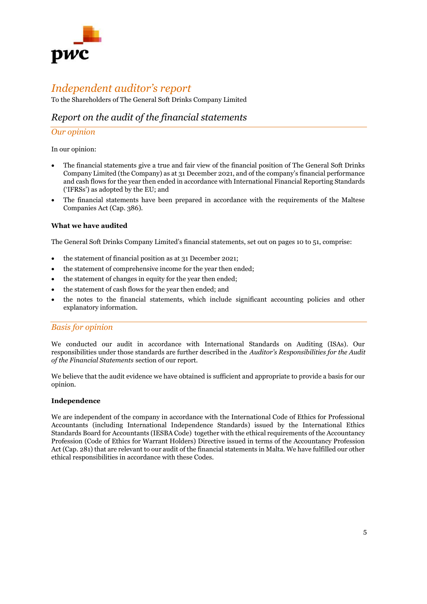

# *Independent auditor's report*

To the Shareholders of The General Soft Drinks Company Limited

## *Report on the audit of the financial statements*

## *Our opinion*

In our opinion:

- The financial statements give a true and fair view of the financial position of The General Soft Drinks Company Limited (the Company) as at 31 December 2021, and of the company's financial performance and cash flows for the year then ended in accordance with International Financial Reporting Standards ('IFRSs') as adopted by the EU; and
- The financial statements have been prepared in accordance with the requirements of the Maltese Companies Act (Cap. 386).

## **What we have audited**

The General Soft Drinks Company Limited's financial statements, set out on pages 10 to 51, comprise:

- the statement of financial position as at 31 December 2021;
- the statement of comprehensive income for the year then ended;
- the statement of changes in equity for the year then ended;
- the statement of cash flows for the year then ended; and
- the notes to the financial statements, which include significant accounting policies and other explanatory information.

## *Basis for opinion*

We conducted our audit in accordance with International Standards on Auditing (ISAs). Our responsibilities under those standards are further described in the *Auditor's Responsibilities for the Audit of the Financial Statements* section of our report.

We believe that the audit evidence we have obtained is sufficient and appropriate to provide a basis for our opinion.

### **Independence**

We are independent of the company in accordance with the International Code of Ethics for Professional Accountants (including International Independence Standards) issued by the International Ethics Standards Board for Accountants (IESBA Code) together with the ethical requirements of the Accountancy Profession (Code of Ethics for Warrant Holders) Directive issued in terms of the Accountancy Profession Act (Cap. 281) that are relevant to our audit of the financial statements in Malta. We have fulfilled our other ethical responsibilities in accordance with these Codes.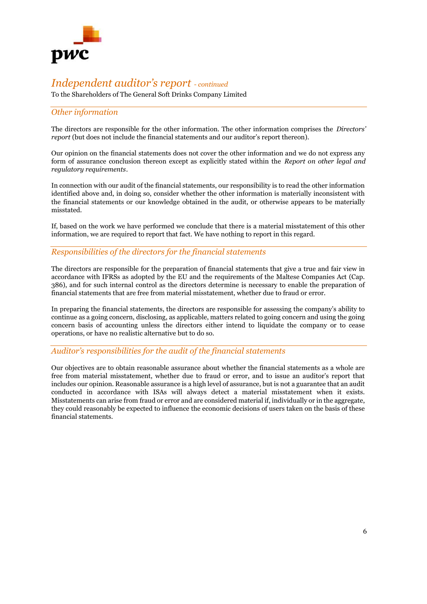

To the Shareholders of The General Soft Drinks Company Limited

## *Other information*

The directors are responsible for the other information. The other information comprises the *Directors' report* (but does not include the financial statements and our auditor's report thereon).

Our opinion on the financial statements does not cover the other information and we do not express any form of assurance conclusion thereon except as explicitly stated within the *Report on other legal and regulatory requirements*.

In connection with our audit of the financial statements, our responsibility is to read the other information identified above and, in doing so, consider whether the other information is materially inconsistent with the financial statements or our knowledge obtained in the audit, or otherwise appears to be materially misstated.

If, based on the work we have performed we conclude that there is a material misstatement of this other information, we are required to report that fact. We have nothing to report in this regard.

## *Responsibilities of the directors for the financial statements*

The directors are responsible for the preparation of financial statements that give a true and fair view in accordance with IFRSs as adopted by the EU and the requirements of the Maltese Companies Act (Cap. 386), and for such internal control as the directors determine is necessary to enable the preparation of financial statements that are free from material misstatement, whether due to fraud or error.

In preparing the financial statements, the directors are responsible for assessing the company's ability to continue as a going concern, disclosing, as applicable, matters related to going concern and using the going concern basis of accounting unless the directors either intend to liquidate the company or to cease operations, or have no realistic alternative but to do so.

## *Auditor's responsibilities for the audit of the financial statements*

Our objectives are to obtain reasonable assurance about whether the financial statements as a whole are free from material misstatement, whether due to fraud or error, and to issue an auditor's report that includes our opinion. Reasonable assurance is a high level of assurance, but is not a guarantee that an audit conducted in accordance with ISAs will always detect a material misstatement when it exists. Misstatements can arise from fraud or error and are considered material if, individually or in the aggregate, they could reasonably be expected to influence the economic decisions of users taken on the basis of these financial statements.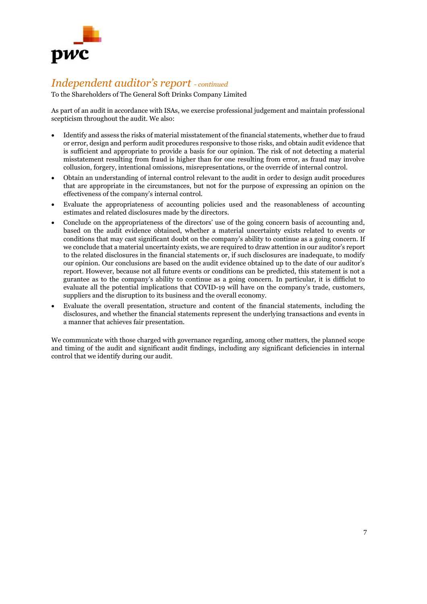

To the Shareholders of The General Soft Drinks Company Limited

As part of an audit in accordance with ISAs, we exercise professional judgement and maintain professional scepticism throughout the audit. We also:

- Identify and assess the risks of material misstatement of the financial statements, whether due to fraud or error, design and perform audit procedures responsive to those risks, and obtain audit evidence that is sufficient and appropriate to provide a basis for our opinion. The risk of not detecting a material misstatement resulting from fraud is higher than for one resulting from error, as fraud may involve collusion, forgery, intentional omissions, misrepresentations, or the override of internal control.
- Obtain an understanding of internal control relevant to the audit in order to design audit procedures that are appropriate in the circumstances, but not for the purpose of expressing an opinion on the effectiveness of the company's internal control.
- Evaluate the appropriateness of accounting policies used and the reasonableness of accounting estimates and related disclosures made by the directors.
- Conclude on the appropriateness of the directors' use of the going concern basis of accounting and, based on the audit evidence obtained, whether a material uncertainty exists related to events or conditions that may cast significant doubt on the company's ability to continue as a going concern. If we conclude that a material uncertainty exists, we are required to draw attention in our auditor's report to the related disclosures in the financial statements or, if such disclosures are inadequate, to modify our opinion. Our conclusions are based on the audit evidence obtained up to the date of our auditor's report. However, because not all future events or conditions can be predicted, this statement is not a gurantee as to the company's ability to continue as a going concern. In particular, it is difficlut to evaluate all the potential implications that COVID-19 will have on the company's trade, customers, suppliers and the disruption to its business and the overall economy.
- Evaluate the overall presentation, structure and content of the financial statements, including the disclosures, and whether the financial statements represent the underlying transactions and events in a manner that achieves fair presentation.

We communicate with those charged with governance regarding, among other matters, the planned scope and timing of the audit and significant audit findings, including any significant deficiencies in internal control that we identify during our audit.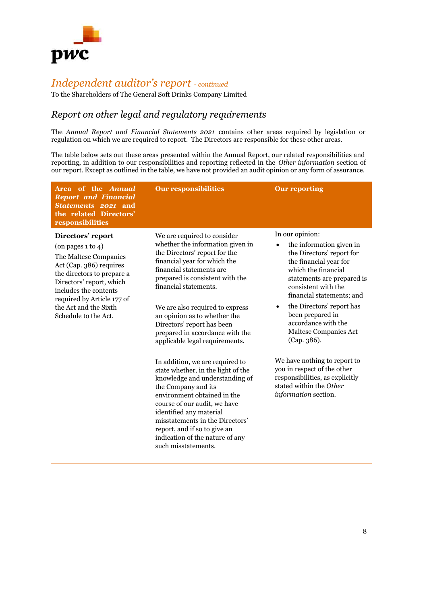

To the Shareholders of The General Soft Drinks Company Limited

## *Report on other legal and regulatory requirements*

The *Annual Report and Financial Statements 2021* contains other areas required by legislation or regulation on which we are required to report. The Directors are responsible for these other areas.

The table below sets out these areas presented within the Annual Report, our related responsibilities and reporting, in addition to our responsibilities and reporting reflected in the *Other information* section of our report. Except as outlined in the table, we have not provided an audit opinion or any form of assurance.

| Area of the <i>Annual</i><br><b>Report and Financial</b><br>Statements 2021 and<br>the related Directors'<br>responsibilities                                                                                                                                | <b>Our responsibilities</b>                                                                                                                                                                                                                                                                                                                                                                                                                                                                                                                                                                                                                                                                                                                             | <b>Our reporting</b>                                                                                                                                                                                                                                                                                                                                                                                                                                                             |
|--------------------------------------------------------------------------------------------------------------------------------------------------------------------------------------------------------------------------------------------------------------|---------------------------------------------------------------------------------------------------------------------------------------------------------------------------------------------------------------------------------------------------------------------------------------------------------------------------------------------------------------------------------------------------------------------------------------------------------------------------------------------------------------------------------------------------------------------------------------------------------------------------------------------------------------------------------------------------------------------------------------------------------|----------------------------------------------------------------------------------------------------------------------------------------------------------------------------------------------------------------------------------------------------------------------------------------------------------------------------------------------------------------------------------------------------------------------------------------------------------------------------------|
| Directors' report<br>(on pages 1 to 4)<br>The Maltese Companies<br>Act (Cap. 386) requires<br>the directors to prepare a<br>Directors' report, which<br>includes the contents<br>required by Article 177 of<br>the Act and the Sixth<br>Schedule to the Act. | We are required to consider<br>whether the information given in<br>the Directors' report for the<br>financial year for which the<br>financial statements are<br>prepared is consistent with the<br>financial statements.<br>We are also required to express<br>an opinion as to whether the<br>Directors' report has been<br>prepared in accordance with the<br>applicable legal requirements.<br>In addition, we are required to<br>state whether, in the light of the<br>knowledge and understanding of<br>the Company and its<br>environment obtained in the<br>course of our audit, we have<br>identified any material<br>misstatements in the Directors'<br>report, and if so to give an<br>indication of the nature of any<br>such misstatements. | In our opinion:<br>the information given in<br>the Directors' report for<br>the financial year for<br>which the financial<br>statements are prepared is<br>consistent with the<br>financial statements; and<br>the Directors' report has<br>been prepared in<br>accordance with the<br>Maltese Companies Act<br>(Cap. 386).<br>We have nothing to report to<br>you in respect of the other<br>responsibilities, as explicitly<br>stated within the Other<br>information section. |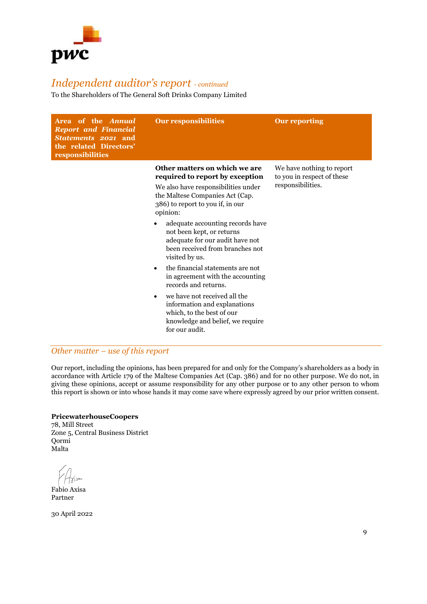

To the Shareholders of The General Soft Drinks Company Limited

| Area of the Annual<br><b>Report and Financial</b><br>Statements 2021 and<br>the related Directors'<br>responsibilities | <b>Our responsibilities</b>                                                                                                                                                                | <b>Our reporting</b>                                                         |
|------------------------------------------------------------------------------------------------------------------------|--------------------------------------------------------------------------------------------------------------------------------------------------------------------------------------------|------------------------------------------------------------------------------|
|                                                                                                                        | Other matters on which we are<br>required to report by exception<br>We also have responsibilities under<br>the Maltese Companies Act (Cap.<br>386) to report to you if, in our<br>opinion: | We have nothing to report<br>to you in respect of these<br>responsibilities. |
|                                                                                                                        | adequate accounting records have<br>$\bullet$<br>not been kept, or returns<br>adequate for our audit have not<br>been received from branches not<br>visited by us.                         |                                                                              |
|                                                                                                                        | the financial statements are not<br>$\bullet$<br>in agreement with the accounting<br>records and returns.                                                                                  |                                                                              |
|                                                                                                                        | we have not received all the<br>$\bullet$<br>information and explanations<br>which, to the best of our<br>knowledge and belief, we require<br>for our audit.                               |                                                                              |

# *Other matter – use of this report*

Our report, including the opinions, has been prepared for and only for the Company's shareholders as a body in accordance with Article 179 of the Maltese Companies Act (Cap. 386) and for no other purpose. We do not, in giving these opinions, accept or assume responsibility for any other purpose or to any other person to whom this report is shown or into whose hands it may come save where expressly agreed by our prior written consent.

## **PricewaterhouseCoopers**

78, Mill Street Zone 5, Central Business District Qormi Malta

Fabio Axisa Partner

30 April 2022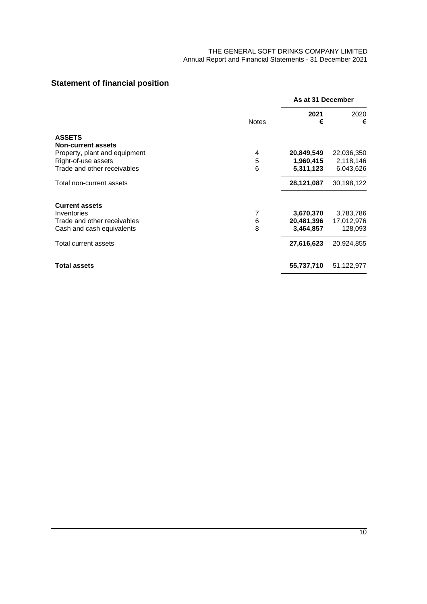## **Statement of financial position**

|                                                          |              | As at 31 December       |                       |
|----------------------------------------------------------|--------------|-------------------------|-----------------------|
|                                                          | <b>Notes</b> | 2021<br>€               | 2020<br>€             |
| <b>ASSETS</b><br>Non-current assets                      |              |                         |                       |
| Property, plant and equipment                            | 4            | 20,849,549              | 22,036,350            |
| Right-of-use assets                                      | 5            | 1,960,415               | 2,118,146             |
| Trade and other receivables                              | 6            | 5,311,123               | 6,043,626             |
| Total non-current assets                                 |              | 28,121,087              | 30,198,122            |
| <b>Current assets</b>                                    |              |                         |                       |
| Inventories                                              | 7            | 3,670,370               | 3,783,786             |
| Trade and other receivables<br>Cash and cash equivalents | 6<br>8       | 20,481,396<br>3,464,857 | 17,012,976<br>128,093 |
| Total current assets                                     |              | 27,616,623              | 20,924,855            |
| <b>Total assets</b>                                      |              | 55,737,710              | 51,122,977            |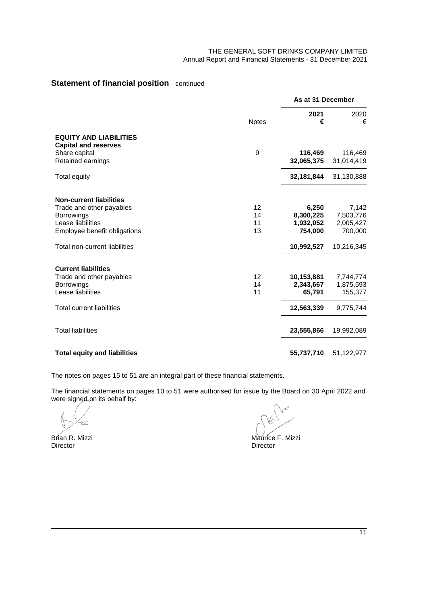## **Statement of financial position** - continued

|                                                                                                                                      |                      | As at 31 December                          |                                            |  |
|--------------------------------------------------------------------------------------------------------------------------------------|----------------------|--------------------------------------------|--------------------------------------------|--|
|                                                                                                                                      | <b>Notes</b>         | 2021<br>€                                  | 2020<br>€                                  |  |
| <b>EQUITY AND LIABILITIES</b><br><b>Capital and reserves</b><br>Share capital<br>Retained earnings                                   | 9                    | 116,469<br>32,065,375                      | 116,469<br>31,014,419                      |  |
| <b>Total equity</b>                                                                                                                  |                      | 32,181,844                                 | 31,130,888                                 |  |
| <b>Non-current liabilities</b><br>Trade and other payables<br><b>Borrowings</b><br>Lease liabilities<br>Employee benefit obligations | 12<br>14<br>11<br>13 | 6,250<br>8,300,225<br>1,932,052<br>754,000 | 7,142<br>7,503,776<br>2,005,427<br>700,000 |  |
| Total non-current liabilities                                                                                                        |                      | 10,992,527                                 | 10,216,345                                 |  |
| <b>Current liabilities</b><br>Trade and other payables<br><b>Borrowings</b><br>Lease liabilities                                     | 12<br>14<br>11       | 10,153,881<br>2,343,667<br>65,791          | 7,744,774<br>1,875,593<br>155,377          |  |
| <b>Total current liabilities</b>                                                                                                     |                      | 12,563,339                                 | 9,775,744                                  |  |
| <b>Total liabilities</b>                                                                                                             |                      | 23,555,866                                 | 19,992,089                                 |  |
| <b>Total equity and liabilities</b>                                                                                                  |                      | 55,737,710                                 | 51,122,977                                 |  |

The notes on pages 15 to 51 are an integral part of these financial statements.

The financial statements on pages 10 to 51 were authorised for issue by the Board on 30 April 2022 and were signed on its behalf by:

Brian R. Mizzi **Maurice F. Mizzi** Maurice F. Mizzi Director Director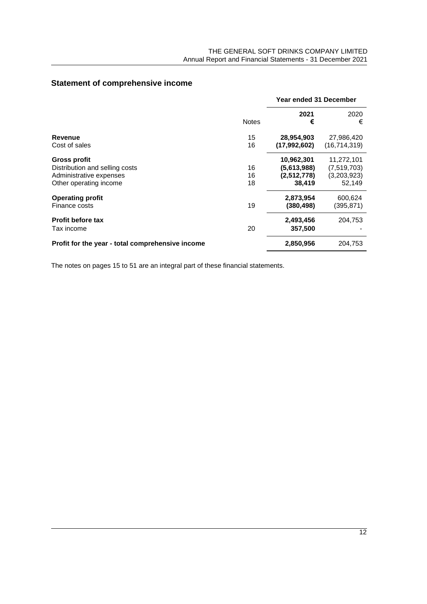## **Statement of comprehensive income**

|                                                  |              | Year ended 31 December |                |  |
|--------------------------------------------------|--------------|------------------------|----------------|--|
|                                                  | <b>Notes</b> | 2021<br>€              | 2020<br>€      |  |
| Revenue                                          | 15           | 28,954,903             | 27,986,420     |  |
| Cost of sales                                    | 16           | (17,992,602)           | (16, 714, 319) |  |
| <b>Gross profit</b>                              | 16           | 10,962,301             | 11,272,101     |  |
| Distribution and selling costs                   |              | (5,613,988)            | (7,519,703)    |  |
| Administrative expenses                          | 16           | (2,512,778)            | (3,203,923)    |  |
| Other operating income                           | 18           | 38,419                 | 52,149         |  |
| <b>Operating profit</b>                          | 19           | 2,873,954              | 600,624        |  |
| Finance costs                                    |              | (380, 498)             | (395,871)      |  |
| <b>Profit before tax</b><br>Tax income           | 20           | 2,493,456<br>357,500   | 204,753        |  |
| Profit for the year - total comprehensive income |              | 2,850,956              | 204,753        |  |

The notes on pages 15 to 51 are an integral part of these financial statements.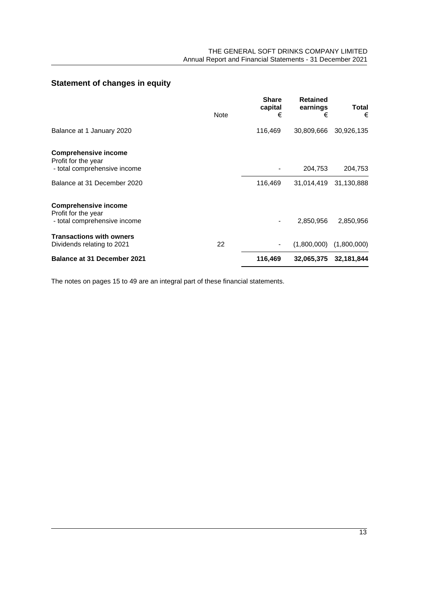## **Statement of changes in equity**

| <b>Note</b> | <b>Share</b><br>capital<br>€ | <b>Retained</b><br>earnings<br>€ | Total<br>€  |
|-------------|------------------------------|----------------------------------|-------------|
|             | 116,469                      | 30,809,666                       | 30,926,135  |
|             |                              |                                  |             |
|             |                              |                                  | 204,753     |
|             | 116,469                      | 31,014,419                       | 31,130,888  |
|             |                              |                                  |             |
|             |                              | 2,850,956                        | 2,850,956   |
| 22          |                              | (1,800,000)                      | (1,800,000) |
|             | 116,469                      | 32,065,375                       | 32,181,844  |
|             |                              |                                  | 204,753     |

The notes on pages 15 to 49 are an integral part of these financial statements.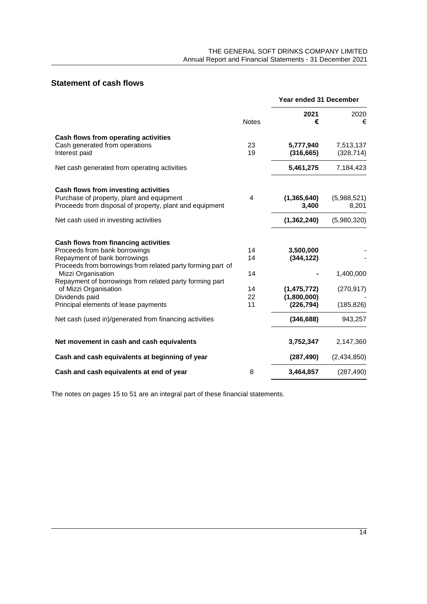## **Statement of cash flows**

|                                                                                             |              | Year ended 31 December |             |  |
|---------------------------------------------------------------------------------------------|--------------|------------------------|-------------|--|
|                                                                                             | <b>Notes</b> | 2021<br>€              | 2020<br>€   |  |
| Cash flows from operating activities                                                        |              |                        |             |  |
| Cash generated from operations                                                              | 23           | 5,777,940              | 7,513,137   |  |
| Interest paid                                                                               | 19           | (316, 665)             | (328, 714)  |  |
| Net cash generated from operating activities                                                |              | 5,461,275              | 7,184,423   |  |
| Cash flows from investing activities                                                        |              |                        |             |  |
| Purchase of property, plant and equipment                                                   | 4            | (1, 365, 640)          | (5,988,521) |  |
| Proceeds from disposal of property, plant and equipment                                     |              | 3,400                  | 8,201       |  |
| Net cash used in investing activities                                                       |              | (1,362,240)            | (5,980,320) |  |
| Cash flows from financing activities                                                        |              |                        |             |  |
| Proceeds from bank borrowings                                                               | 14           | 3,500,000              |             |  |
| Repayment of bank borrowings<br>Proceeds from borrowings from related party forming part of | 14           | (344, 122)             |             |  |
| Mizzi Organisation                                                                          | 14           |                        | 1,400,000   |  |
| Repayment of borrowings from related party forming part                                     |              |                        |             |  |
| of Mizzi Organisation                                                                       | 14           | (1, 475, 772)          | (270, 917)  |  |
| Dividends paid                                                                              | 22           | (1,800,000)            |             |  |
| Principal elements of lease payments                                                        | 11           | (226, 794)             | (185, 826)  |  |
| Net cash (used in)/generated from financing activities                                      |              | (346, 688)             | 943,257     |  |
| Net movement in cash and cash equivalents                                                   |              | 3,752,347              | 2,147,360   |  |
| Cash and cash equivalents at beginning of year                                              |              | (287, 490)             | (2,434,850) |  |
| Cash and cash equivalents at end of year                                                    | 8            | 3,464,857              | (287, 490)  |  |

The notes on pages 15 to 51 are an integral part of these financial statements.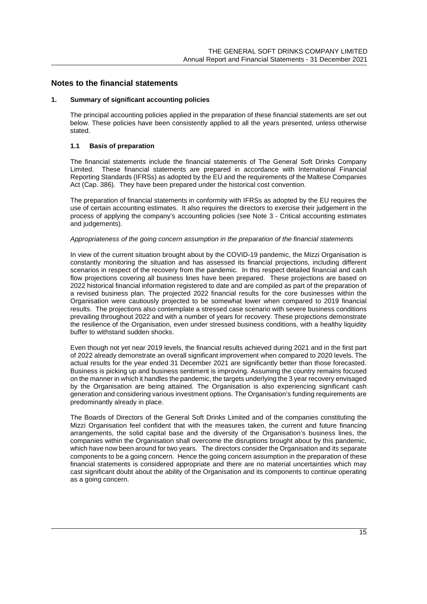## **Notes to the financial statements**

## **1. Summary of significant accounting policies**

The principal accounting policies applied in the preparation of these financial statements are set out below. These policies have been consistently applied to all the years presented, unless otherwise stated.

## **1.1 Basis of preparation**

The financial statements include the financial statements of The General Soft Drinks Company Limited. These financial statements are prepared in accordance with International Financial Reporting Standards (IFRSs) as adopted by the EU and the requirements of the Maltese Companies Act (Cap. 386). They have been prepared under the historical cost convention.

The preparation of financial statements in conformity with IFRSs as adopted by the EU requires the use of certain accounting estimates. It also requires the directors to exercise their judgement in the process of applying the company's accounting policies (see Note 3 - Critical accounting estimates and judgements).

### *Appropriateness of the going concern assumption in the preparation of the financial statements*

In view of the current situation brought about by the COVID-19 pandemic, the Mizzi Organisation is constantly monitoring the situation and has assessed its financial projections, including different scenarios in respect of the recovery from the pandemic. In this respect detailed financial and cash flow projections covering all business lines have been prepared. These projections are based on 2022 historical financial information registered to date and are compiled as part of the preparation of a revised business plan. The projected 2022 financial results for the core businesses within the Organisation were cautiously projected to be somewhat lower when compared to 2019 financial results. The projections also contemplate a stressed case scenario with severe business conditions prevailing throughout 2022 and with a number of years for recovery. These projections demonstrate the resilience of the Organisation, even under stressed business conditions, with a healthy liquidity buffer to withstand sudden shocks.

Even though not yet near 2019 levels, the financial results achieved during 2021 and in the first part of 2022 already demonstrate an overall significant improvement when compared to 2020 levels. The actual results for the year ended 31 December 2021 are significantly better than those forecasted. Business is picking up and business sentiment is improving. Assuming the country remains focused on the manner in which it handles the pandemic, the targets underlying the 3 year recovery envisaged by the Organisation are being attained. The Organisation is also experiencing significant cash generation and considering various investment options. The Organisation's funding requirements are predominantly already in place.

The Boards of Directors of the General Soft Drinks Limited and of the companies constituting the Mizzi Organisation feel confident that with the measures taken, the current and future financing arrangements, the solid capital base and the diversity of the Organisation's business lines, the companies within the Organisation shall overcome the disruptions brought about by this pandemic, which have now been around for two years. The directors consider the Organisation and its separate components to be a going concern. Hence the going concern assumption in the preparation of these financial statements is considered appropriate and there are no material uncertainties which may cast significant doubt about the ability of the Organisation and its components to continue operating as a going concern.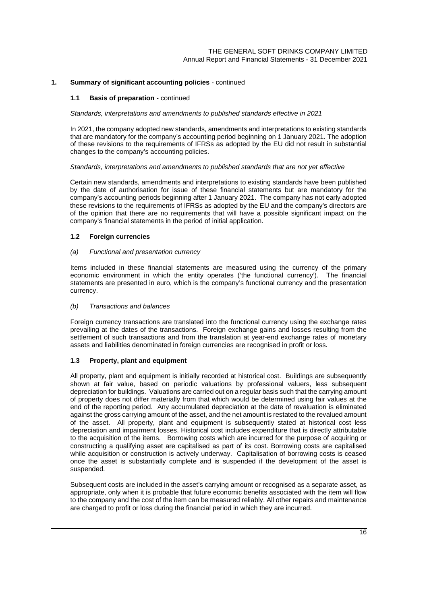## **1.1 Basis of preparation** - continued

### *Standards, interpretations and amendments to published standards effective in 2021*

In 2021, the company adopted new standards, amendments and interpretations to existing standards that are mandatory for the company's accounting period beginning on 1 January 2021. The adoption of these revisions to the requirements of IFRSs as adopted by the EU did not result in substantial changes to the company's accounting policies.

### *Standards, interpretations and amendments to published standards that are not yet effective*

Certain new standards, amendments and interpretations to existing standards have been published by the date of authorisation for issue of these financial statements but are mandatory for the company's accounting periods beginning after 1 January 2021. The company has not early adopted these revisions to the requirements of IFRSs as adopted by the EU and the company's directors are of the opinion that there are no requirements that will have a possible significant impact on the company's financial statements in the period of initial application.

## **1.2 Foreign currencies**

## *(a) Functional and presentation currency*

Items included in these financial statements are measured using the currency of the primary economic environment in which the entity operates ('the functional currency'). The financial statements are presented in euro, which is the company's functional currency and the presentation currency.

## *(b) Transactions and balances*

Foreign currency transactions are translated into the functional currency using the exchange rates prevailing at the dates of the transactions. Foreign exchange gains and losses resulting from the settlement of such transactions and from the translation at year-end exchange rates of monetary assets and liabilities denominated in foreign currencies are recognised in profit or loss.

## **1.3 Property, plant and equipment**

All property, plant and equipment is initially recorded at historical cost. Buildings are subsequently shown at fair value, based on periodic valuations by professional valuers, less subsequent depreciation for buildings. Valuations are carried out on a regular basis such that the carrying amount of property does not differ materially from that which would be determined using fair values at the end of the reporting period. Any accumulated depreciation at the date of revaluation is eliminated against the gross carrying amount of the asset, and the net amount is restated to the revalued amount of the asset. All property, plant and equipment is subsequently stated at historical cost less depreciation and impairment losses. Historical cost includes expenditure that is directly attributable to the acquisition of the items. Borrowing costs which are incurred for the purpose of acquiring or constructing a qualifying asset are capitalised as part of its cost. Borrowing costs are capitalised while acquisition or construction is actively underway. Capitalisation of borrowing costs is ceased once the asset is substantially complete and is suspended if the development of the asset is suspended.

Subsequent costs are included in the asset's carrying amount or recognised as a separate asset, as appropriate, only when it is probable that future economic benefits associated with the item will flow to the company and the cost of the item can be measured reliably. All other repairs and maintenance are charged to profit or loss during the financial period in which they are incurred.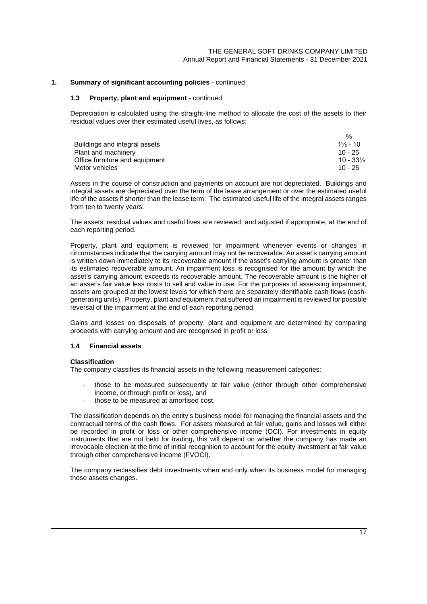### **1.3 Property, plant and equipment** - continued

Depreciation is calculated using the straight-line method to allocate the cost of the assets to their residual values over their estimated useful lives, as follows:

|                                | %           |
|--------------------------------|-------------|
| Buildings and integral assets  | $1\% - 10$  |
| Plant and machinery            | $10 - 25$   |
| Office furniture and equipment | $10 - 33\%$ |
| Motor vehicles                 | $10 - 25$   |

Assets in the course of construction and payments on account are not depreciated. Buildings and integral assets are depreciated over the term of the lease arrangement or over the estimated useful life of the assets if shorter than the lease term. The estimated useful life of the integral assets ranges from ten to twenty years.

The assets' residual values and useful lives are reviewed, and adjusted if appropriate, at the end of each reporting period.

Property, plant and equipment is reviewed for impairment whenever events or changes in circumstances indicate that the carrying amount may not be recoverable. An asset's carrying amount is written down immediately to its recoverable amount if the asset's carrying amount is greater than its estimated recoverable amount. An impairment loss is recognised for the amount by which the asset's carrying amount exceeds its recoverable amount. The recoverable amount is the higher of an asset's fair value less costs to sell and value in use. For the purposes of assessing impairment, assets are grouped at the lowest levels for which there are separately identifiable cash flows (cashgenerating units). Property, plant and equipment that suffered an impairment is reviewed for possible reversal of the impairment at the end of each reporting period.

Gains and losses on disposals of property, plant and equipment are determined by comparing proceeds with carrying amount and are recognised in profit or loss.

## **1.4 Financial assets**

## **Classification**

The company classifies its financial assets in the following measurement categories:

- those to be measured subsequently at fair value (either through other comprehensive income, or through profit or loss), and
- those to be measured at amortised cost.

The classification depends on the entity's business model for managing the financial assets and the contractual terms of the cash flows. For assets measured at fair value, gains and losses will either be recorded in profit or loss or other comprehensive income (OCI). For investments in equity instruments that are not held for trading, this will depend on whether the company has made an irrevocable election at the time of initial recognition to account for the equity investment at fair value through other comprehensive income (FVOCI).

The company reclassifies debt investments when and only when its business model for managing those assets changes.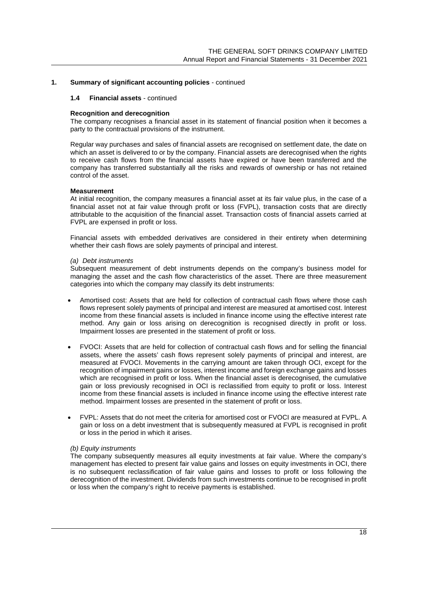## **1.4 Financial assets** - continued

## **Recognition and derecognition**

The company recognises a financial asset in its statement of financial position when it becomes a party to the contractual provisions of the instrument.

Regular way purchases and sales of financial assets are recognised on settlement date, the date on which an asset is delivered to or by the company. Financial assets are derecognised when the rights to receive cash flows from the financial assets have expired or have been transferred and the company has transferred substantially all the risks and rewards of ownership or has not retained control of the asset.

#### **Measurement**

At initial recognition, the company measures a financial asset at its fair value plus, in the case of a financial asset not at fair value through profit or loss (FVPL), transaction costs that are directly attributable to the acquisition of the financial asset. Transaction costs of financial assets carried at FVPL are expensed in profit or loss.

Financial assets with embedded derivatives are considered in their entirety when determining whether their cash flows are solely payments of principal and interest.

## *(a) Debt instruments*

Subsequent measurement of debt instruments depends on the company's business model for managing the asset and the cash flow characteristics of the asset. There are three measurement categories into which the company may classify its debt instruments:

- Amortised cost: Assets that are held for collection of contractual cash flows where those cash flows represent solely payments of principal and interest are measured at amortised cost. Interest income from these financial assets is included in finance income using the effective interest rate method. Any gain or loss arising on derecognition is recognised directly in profit or loss. Impairment losses are presented in the statement of profit or loss.
- FVOCI: Assets that are held for collection of contractual cash flows and for selling the financial assets, where the assets' cash flows represent solely payments of principal and interest, are measured at FVOCI. Movements in the carrying amount are taken through OCI, except for the recognition of impairment gains or losses, interest income and foreign exchange gains and losses which are recognised in profit or loss. When the financial asset is derecognised, the cumulative gain or loss previously recognised in OCI is reclassified from equity to profit or loss. Interest income from these financial assets is included in finance income using the effective interest rate method. Impairment losses are presented in the statement of profit or loss.
- FVPL: Assets that do not meet the criteria for amortised cost or FVOCI are measured at FVPL. A gain or loss on a debt investment that is subsequently measured at FVPL is recognised in profit or loss in the period in which it arises.

#### *(b) Equity instruments*

The company subsequently measures all equity investments at fair value. Where the company's management has elected to present fair value gains and losses on equity investments in OCI, there is no subsequent reclassification of fair value gains and losses to profit or loss following the derecognition of the investment. Dividends from such investments continue to be recognised in profit or loss when the company's right to receive payments is established.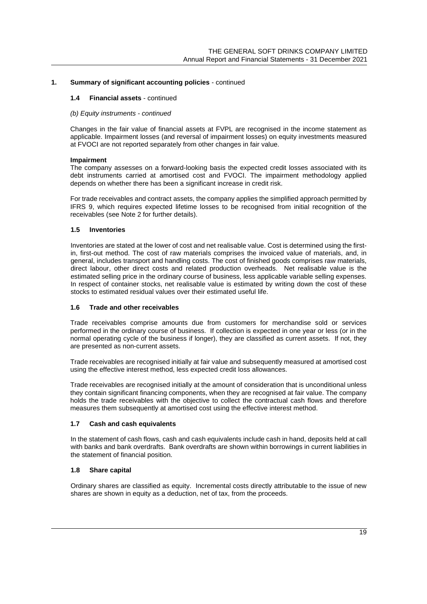## **1.4 Financial assets** - continued

## *(b) Equity instruments - continued*

Changes in the fair value of financial assets at FVPL are recognised in the income statement as applicable. Impairment losses (and reversal of impairment losses) on equity investments measured at FVOCI are not reported separately from other changes in fair value.

## **Impairment**

The company assesses on a forward-looking basis the expected credit losses associated with its debt instruments carried at amortised cost and FVOCI. The impairment methodology applied depends on whether there has been a significant increase in credit risk.

For trade receivables and contract assets, the company applies the simplified approach permitted by IFRS 9, which requires expected lifetime losses to be recognised from initial recognition of the receivables (see Note 2 for further details).

## **1.5 Inventories**

Inventories are stated at the lower of cost and net realisable value. Cost is determined using the firstin, first-out method. The cost of raw materials comprises the invoiced value of materials, and, in general, includes transport and handling costs. The cost of finished goods comprises raw materials, direct labour, other direct costs and related production overheads. Net realisable value is the estimated selling price in the ordinary course of business, less applicable variable selling expenses. In respect of container stocks, net realisable value is estimated by writing down the cost of these stocks to estimated residual values over their estimated useful life.

### **1.6 Trade and other receivables**

Trade receivables comprise amounts due from customers for merchandise sold or services performed in the ordinary course of business. If collection is expected in one year or less (or in the normal operating cycle of the business if longer), they are classified as current assets. If not, they are presented as non-current assets.

Trade receivables are recognised initially at fair value and subsequently measured at amortised cost using the effective interest method, less expected credit loss allowances.

Trade receivables are recognised initially at the amount of consideration that is unconditional unless they contain significant financing components, when they are recognised at fair value. The company holds the trade receivables with the objective to collect the contractual cash flows and therefore measures them subsequently at amortised cost using the effective interest method.

## **1.7 Cash and cash equivalents**

In the statement of cash flows, cash and cash equivalents include cash in hand, deposits held at call with banks and bank overdrafts. Bank overdrafts are shown within borrowings in current liabilities in the statement of financial position.

## **1.8 Share capital**

Ordinary shares are classified as equity. Incremental costs directly attributable to the issue of new shares are shown in equity as a deduction, net of tax, from the proceeds.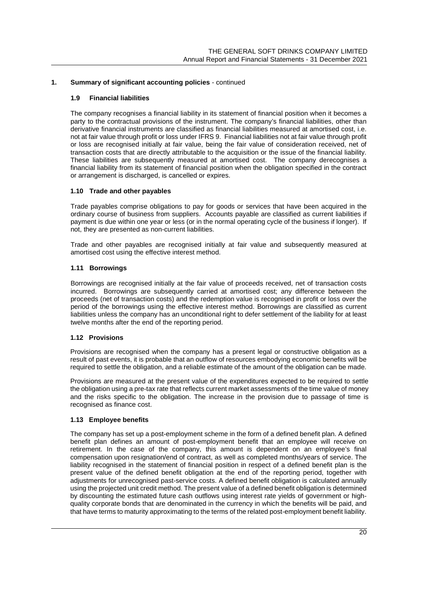## **1.9 Financial liabilities**

The company recognises a financial liability in its statement of financial position when it becomes a party to the contractual provisions of the instrument. The company's financial liabilities, other than derivative financial instruments are classified as financial liabilities measured at amortised cost, i.e. not at fair value through profit or loss under IFRS 9. Financial liabilities not at fair value through profit or loss are recognised initially at fair value, being the fair value of consideration received, net of transaction costs that are directly attributable to the acquisition or the issue of the financial liability. These liabilities are subsequently measured at amortised cost. The company derecognises a financial liability from its statement of financial position when the obligation specified in the contract or arrangement is discharged, is cancelled or expires.

## **1.10 Trade and other payables**

Trade payables comprise obligations to pay for goods or services that have been acquired in the ordinary course of business from suppliers. Accounts payable are classified as current liabilities if payment is due within one year or less (or in the normal operating cycle of the business if longer). If not, they are presented as non-current liabilities.

Trade and other payables are recognised initially at fair value and subsequently measured at amortised cost using the effective interest method.

## **1.11 Borrowings**

Borrowings are recognised initially at the fair value of proceeds received, net of transaction costs incurred. Borrowings are subsequently carried at amortised cost; any difference between the proceeds (net of transaction costs) and the redemption value is recognised in profit or loss over the period of the borrowings using the effective interest method. Borrowings are classified as current liabilities unless the company has an unconditional right to defer settlement of the liability for at least twelve months after the end of the reporting period.

### **1.12 Provisions**

Provisions are recognised when the company has a present legal or constructive obligation as a result of past events, it is probable that an outflow of resources embodying economic benefits will be required to settle the obligation, and a reliable estimate of the amount of the obligation can be made.

Provisions are measured at the present value of the expenditures expected to be required to settle the obligation using a pre-tax rate that reflects current market assessments of the time value of money and the risks specific to the obligation. The increase in the provision due to passage of time is recognised as finance cost.

## **1.13 Employee benefits**

The company has set up a post-employment scheme in the form of a defined benefit plan. A defined benefit plan defines an amount of post-employment benefit that an employee will receive on retirement. In the case of the company, this amount is dependent on an employee's final compensation upon resignation/end of contract, as well as completed months/years of service. The liability recognised in the statement of financial position in respect of a defined benefit plan is the present value of the defined benefit obligation at the end of the reporting period, together with adjustments for unrecognised past-service costs. A defined benefit obligation is calculated annually using the projected unit credit method. The present value of a defined benefit obligation is determined by discounting the estimated future cash outflows using interest rate yields of government or highquality corporate bonds that are denominated in the currency in which the benefits will be paid, and that have terms to maturity approximating to the terms of the related post-employment benefit liability.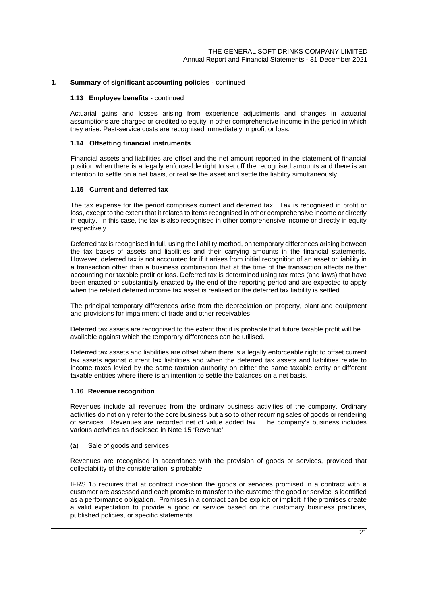## **1.13 Employee benefits** - continued

Actuarial gains and losses arising from experience adjustments and changes in actuarial assumptions are charged or credited to equity in other comprehensive income in the period in which they arise. Past-service costs are recognised immediately in profit or loss.

## **1.14 Offsetting financial instruments**

Financial assets and liabilities are offset and the net amount reported in the statement of financial position when there is a legally enforceable right to set off the recognised amounts and there is an intention to settle on a net basis, or realise the asset and settle the liability simultaneously.

## **1.15 Current and deferred tax**

The tax expense for the period comprises current and deferred tax. Tax is recognised in profit or loss, except to the extent that it relates to items recognised in other comprehensive income or directly in equity. In this case, the tax is also recognised in other comprehensive income or directly in equity respectively.

Deferred tax is recognised in full, using the liability method, on temporary differences arising between the tax bases of assets and liabilities and their carrying amounts in the financial statements. However, deferred tax is not accounted for if it arises from initial recognition of an asset or liability in a transaction other than a business combination that at the time of the transaction affects neither accounting nor taxable profit or loss. Deferred tax is determined using tax rates (and laws) that have been enacted or substantially enacted by the end of the reporting period and are expected to apply when the related deferred income tax asset is realised or the deferred tax liability is settled.

The principal temporary differences arise from the depreciation on property, plant and equipment and provisions for impairment of trade and other receivables.

Deferred tax assets are recognised to the extent that it is probable that future taxable profit will be available against which the temporary differences can be utilised.

Deferred tax assets and liabilities are offset when there is a legally enforceable right to offset current tax assets against current tax liabilities and when the deferred tax assets and liabilities relate to income taxes levied by the same taxation authority on either the same taxable entity or different taxable entities where there is an intention to settle the balances on a net basis.

### **1.16 Revenue recognition**

Revenues include all revenues from the ordinary business activities of the company. Ordinary activities do not only refer to the core business but also to other recurring sales of goods or rendering of services. Revenues are recorded net of value added tax. The company's business includes various activities as disclosed in Note 15 'Revenue'.

(a) Sale of goods and services

Revenues are recognised in accordance with the provision of goods or services, provided that collectability of the consideration is probable.

IFRS 15 requires that at contract inception the goods or services promised in a contract with a customer are assessed and each promise to transfer to the customer the good or service is identified as a performance obligation. Promises in a contract can be explicit or implicit if the promises create a valid expectation to provide a good or service based on the customary business practices, published policies, or specific statements.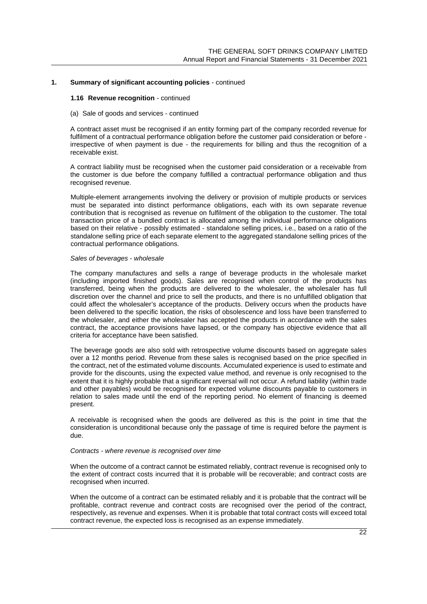### **1.16 Revenue recognition** - continued

(a) Sale of goods and services - continued

A contract asset must be recognised if an entity forming part of the company recorded revenue for fulfilment of a contractual performance obligation before the customer paid consideration or before irrespective of when payment is due - the requirements for billing and thus the recognition of a receivable exist.

A contract liability must be recognised when the customer paid consideration or a receivable from the customer is due before the company fulfilled a contractual performance obligation and thus recognised revenue.

Multiple-element arrangements involving the delivery or provision of multiple products or services must be separated into distinct performance obligations, each with its own separate revenue contribution that is recognised as revenue on fulfilment of the obligation to the customer. The total transaction price of a bundled contract is allocated among the individual performance obligations based on their relative - possibly estimated - standalone selling prices, i.e., based on a ratio of the standalone selling price of each separate element to the aggregated standalone selling prices of the contractual performance obligations.

#### *Sales of beverages - wholesale*

The company manufactures and sells a range of beverage products in the wholesale market (including imported finished goods). Sales are recognised when control of the products has transferred, being when the products are delivered to the wholesaler, the wholesaler has full discretion over the channel and price to sell the products, and there is no unfulfilled obligation that could affect the wholesaler's acceptance of the products. Delivery occurs when the products have been delivered to the specific location, the risks of obsolescence and loss have been transferred to the wholesaler, and either the wholesaler has accepted the products in accordance with the sales contract, the acceptance provisions have lapsed, or the company has objective evidence that all criteria for acceptance have been satisfied.

The beverage goods are also sold with retrospective volume discounts based on aggregate sales over a 12 months period. Revenue from these sales is recognised based on the price specified in the contract, net of the estimated volume discounts. Accumulated experience is used to estimate and provide for the discounts, using the expected value method, and revenue is only recognised to the extent that it is highly probable that a significant reversal will not occur. A refund liability (within trade and other payables) would be recognised for expected volume discounts payable to customers in relation to sales made until the end of the reporting period. No element of financing is deemed present.

A receivable is recognised when the goods are delivered as this is the point in time that the consideration is unconditional because only the passage of time is required before the payment is due.

## *Contracts - where revenue is recognised over time*

When the outcome of a contract cannot be estimated reliably, contract revenue is recognised only to the extent of contract costs incurred that it is probable will be recoverable; and contract costs are recognised when incurred.

When the outcome of a contract can be estimated reliably and it is probable that the contract will be profitable, contract revenue and contract costs are recognised over the period of the contract, respectively, as revenue and expenses. When it is probable that total contract costs will exceed total contract revenue, the expected loss is recognised as an expense immediately.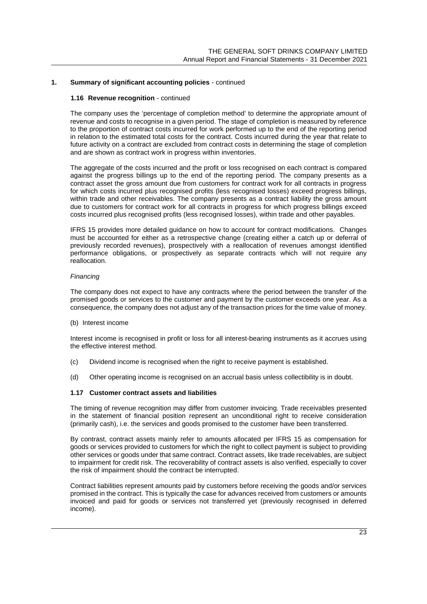### **1.16 Revenue recognition** - continued

The company uses the 'percentage of completion method' to determine the appropriate amount of revenue and costs to recognise in a given period. The stage of completion is measured by reference to the proportion of contract costs incurred for work performed up to the end of the reporting period in relation to the estimated total costs for the contract. Costs incurred during the year that relate to future activity on a contract are excluded from contract costs in determining the stage of completion and are shown as contract work in progress within inventories.

The aggregate of the costs incurred and the profit or loss recognised on each contract is compared against the progress billings up to the end of the reporting period. The company presents as a contract asset the gross amount due from customers for contract work for all contracts in progress for which costs incurred plus recognised profits (less recognised losses) exceed progress billings, within trade and other receivables. The company presents as a contract liability the gross amount due to customers for contract work for all contracts in progress for which progress billings exceed costs incurred plus recognised profits (less recognised losses), within trade and other payables.

IFRS 15 provides more detailed guidance on how to account for contract modifications. Changes must be accounted for either as a retrospective change (creating either a catch up or deferral of previously recorded revenues), prospectively with a reallocation of revenues amongst identified performance obligations, or prospectively as separate contracts which will not require any reallocation.

#### *Financing*

The company does not expect to have any contracts where the period between the transfer of the promised goods or services to the customer and payment by the customer exceeds one year. As a consequence, the company does not adjust any of the transaction prices for the time value of money.

### (b) Interest income

Interest income is recognised in profit or loss for all interest-bearing instruments as it accrues using the effective interest method.

- (c) Dividend income is recognised when the right to receive payment is established.
- (d) Other operating income is recognised on an accrual basis unless collectibility is in doubt.

#### **1.17 Customer contract assets and liabilities**

The timing of revenue recognition may differ from customer invoicing. Trade receivables presented in the statement of financial position represent an unconditional right to receive consideration (primarily cash), i.e. the services and goods promised to the customer have been transferred.

By contrast, contract assets mainly refer to amounts allocated per IFRS 15 as compensation for goods or services provided to customers for which the right to collect payment is subject to providing other services or goods under that same contract. Contract assets, like trade receivables, are subject to impairment for credit risk. The recoverability of contract assets is also verified, especially to cover the risk of impairment should the contract be interrupted.

Contract liabilities represent amounts paid by customers before receiving the goods and/or services promised in the contract. This is typically the case for advances received from customers or amounts invoiced and paid for goods or services not transferred yet (previously recognised in deferred income).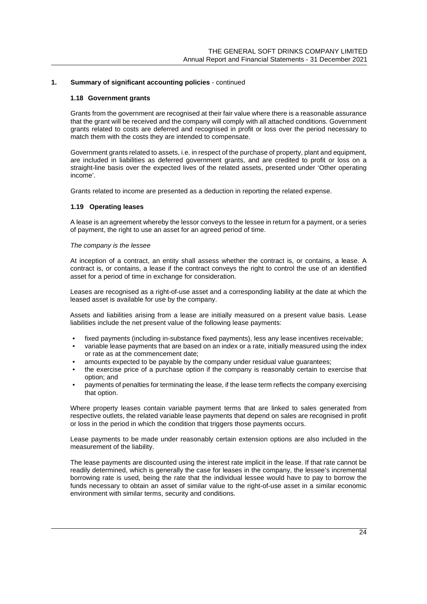## **1.18 Government grants**

Grants from the government are recognised at their fair value where there is a reasonable assurance that the grant will be received and the company will comply with all attached conditions. Government grants related to costs are deferred and recognised in profit or loss over the period necessary to match them with the costs they are intended to compensate.

Government grants related to assets, i.e. in respect of the purchase of property, plant and equipment, are included in liabilities as deferred government grants, and are credited to profit or loss on a straight-line basis over the expected lives of the related assets, presented under 'Other operating income'.

Grants related to income are presented as a deduction in reporting the related expense.

## **1.19 Operating leases**

A lease is an agreement whereby the lessor conveys to the lessee in return for a payment, or a series of payment, the right to use an asset for an agreed period of time.

## *The company is the lessee*

At inception of a contract, an entity shall assess whether the contract is, or contains, a lease. A contract is, or contains, a lease if the contract conveys the right to control the use of an identified asset for a period of time in exchange for consideration.

Leases are recognised as a right-of-use asset and a corresponding liability at the date at which the leased asset is available for use by the company.

Assets and liabilities arising from a lease are initially measured on a present value basis. Lease liabilities include the net present value of the following lease payments:

- fixed payments (including in-substance fixed payments), less any lease incentives receivable;
- variable lease payments that are based on an index or a rate, initially measured using the index or rate as at the commencement date;
- amounts expected to be payable by the company under residual value guarantees;
- the exercise price of a purchase option if the company is reasonably certain to exercise that option; and
- payments of penalties for terminating the lease, if the lease term reflects the company exercising that option.

Where property leases contain variable payment terms that are linked to sales generated from respective outlets, the related variable lease payments that depend on sales are recognised in profit or loss in the period in which the condition that triggers those payments occurs.

Lease payments to be made under reasonably certain extension options are also included in the measurement of the liability.

The lease payments are discounted using the interest rate implicit in the lease. If that rate cannot be readily determined, which is generally the case for leases in the company, the lessee's incremental borrowing rate is used, being the rate that the individual lessee would have to pay to borrow the funds necessary to obtain an asset of similar value to the right-of-use asset in a similar economic environment with similar terms, security and conditions.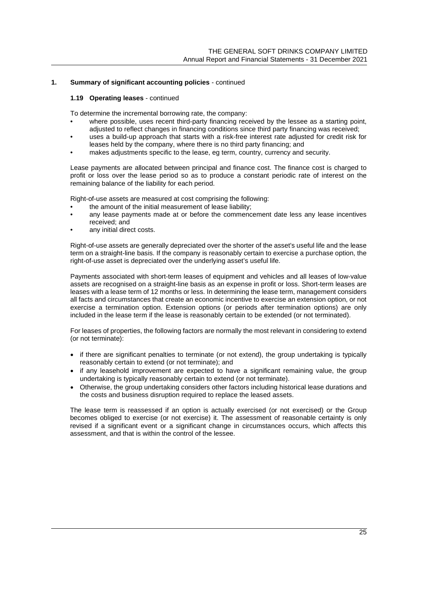### **1.19 Operating leases** - continued

To determine the incremental borrowing rate, the company:

- where possible, uses recent third-party financing received by the lessee as a starting point, adjusted to reflect changes in financing conditions since third party financing was received;
- uses a build-up approach that starts with a risk-free interest rate adjusted for credit risk for leases held by the company, where there is no third party financing; and
- makes adjustments specific to the lease, eg term, country, currency and security.

Lease payments are allocated between principal and finance cost. The finance cost is charged to profit or loss over the lease period so as to produce a constant periodic rate of interest on the remaining balance of the liability for each period.

Right-of-use assets are measured at cost comprising the following:

- the amount of the initial measurement of lease liability;
- any lease payments made at or before the commencement date less any lease incentives received; and
- any initial direct costs.

Right-of-use assets are generally depreciated over the shorter of the asset's useful life and the lease term on a straight-line basis. If the company is reasonably certain to exercise a purchase option, the right-of-use asset is depreciated over the underlying asset's useful life.

Payments associated with short-term leases of equipment and vehicles and all leases of low-value assets are recognised on a straight-line basis as an expense in profit or loss. Short-term leases are leases with a lease term of 12 months or less. In determining the lease term, management considers all facts and circumstances that create an economic incentive to exercise an extension option, or not exercise a termination option. Extension options (or periods after termination options) are only included in the lease term if the lease is reasonably certain to be extended (or not terminated).

For leases of properties, the following factors are normally the most relevant in considering to extend (or not terminate):

- if there are significant penalties to terminate (or not extend), the group undertaking is typically reasonably certain to extend (or not terminate); and
- if any leasehold improvement are expected to have a significant remaining value, the group undertaking is typically reasonably certain to extend (or not terminate).
- Otherwise, the group undertaking considers other factors including historical lease durations and the costs and business disruption required to replace the leased assets.

The lease term is reassessed if an option is actually exercised (or not exercised) or the Group becomes obliged to exercise (or not exercise) it. The assessment of reasonable certainty is only revised if a significant event or a significant change in circumstances occurs, which affects this assessment, and that is within the control of the lessee.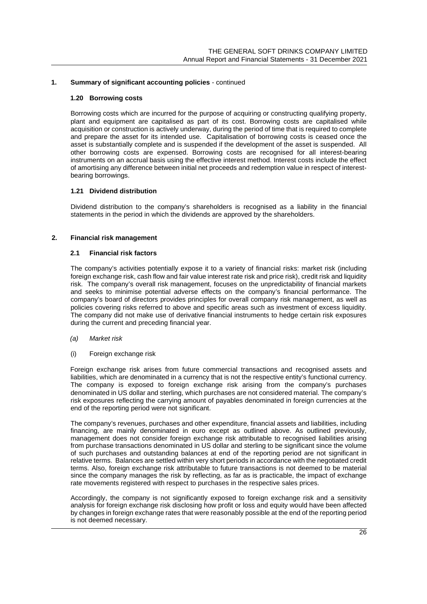## **1.20 Borrowing costs**

Borrowing costs which are incurred for the purpose of acquiring or constructing qualifying property, plant and equipment are capitalised as part of its cost. Borrowing costs are capitalised while acquisition or construction is actively underway, during the period of time that is required to complete and prepare the asset for its intended use. Capitalisation of borrowing costs is ceased once the asset is substantially complete and is suspended if the development of the asset is suspended. All other borrowing costs are expensed. Borrowing costs are recognised for all interest-bearing instruments on an accrual basis using the effective interest method. Interest costs include the effect of amortising any difference between initial net proceeds and redemption value in respect of interestbearing borrowings.

## **1.21 Dividend distribution**

Dividend distribution to the company's shareholders is recognised as a liability in the financial statements in the period in which the dividends are approved by the shareholders.

## **2. Financial risk management**

## **2.1 Financial risk factors**

The company's activities potentially expose it to a variety of financial risks: market risk (including foreign exchange risk, cash flow and fair value interest rate risk and price risk), credit risk and liquidity risk. The company's overall risk management, focuses on the unpredictability of financial markets and seeks to minimise potential adverse effects on the company's financial performance. The company's board of directors provides principles for overall company risk management, as well as policies covering risks referred to above and specific areas such as investment of excess liquidity. The company did not make use of derivative financial instruments to hedge certain risk exposures during the current and preceding financial year.

- *(a) Market risk*
- (i) Foreign exchange risk

Foreign exchange risk arises from future commercial transactions and recognised assets and liabilities, which are denominated in a currency that is not the respective entity's functional currency. The company is exposed to foreign exchange risk arising from the company's purchases denominated in US dollar and sterling, which purchases are not considered material. The company's risk exposures reflecting the carrying amount of payables denominated in foreign currencies at the end of the reporting period were not significant.

The company's revenues, purchases and other expenditure, financial assets and liabilities, including financing, are mainly denominated in euro except as outlined above. As outlined previously, management does not consider foreign exchange risk attributable to recognised liabilities arising from purchase transactions denominated in US dollar and sterling to be significant since the volume of such purchases and outstanding balances at end of the reporting period are not significant in relative terms. Balances are settled within very short periods in accordance with the negotiated credit terms. Also, foreign exchange risk attributable to future transactions is not deemed to be material since the company manages the risk by reflecting, as far as is practicable, the impact of exchange rate movements registered with respect to purchases in the respective sales prices.

Accordingly, the company is not significantly exposed to foreign exchange risk and a sensitivity analysis for foreign exchange risk disclosing how profit or loss and equity would have been affected by changes in foreign exchange rates that were reasonably possible at the end of the reporting period is not deemed necessary.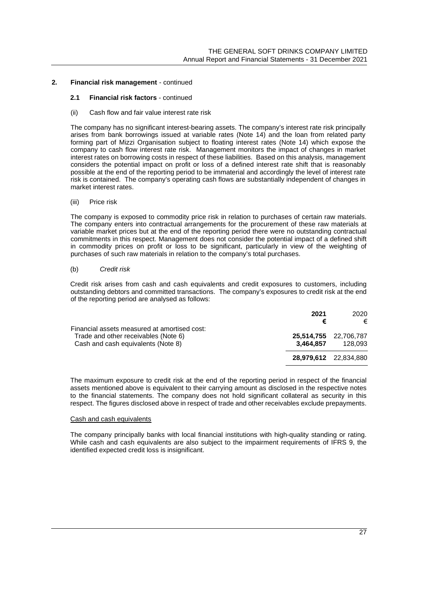### **2.1 Financial risk factors** - continued

## (ii) Cash flow and fair value interest rate risk

The company has no significant interest-bearing assets. The company's interest rate risk principally arises from bank borrowings issued at variable rates (Note 14) and the loan from related party forming part of Mizzi Organisation subject to floating interest rates (Note 14) which expose the company to cash flow interest rate risk. Management monitors the impact of changes in market interest rates on borrowing costs in respect of these liabilities. Based on this analysis, management considers the potential impact on profit or loss of a defined interest rate shift that is reasonably possible at the end of the reporting period to be immaterial and accordingly the level of interest rate risk is contained. The company's operating cash flows are substantially independent of changes in market interest rates.

## (iii) Price risk

The company is exposed to commodity price risk in relation to purchases of certain raw materials. The company enters into contractual arrangements for the procurement of these raw materials at variable market prices but at the end of the reporting period there were no outstanding contractual commitments in this respect. Management does not consider the potential impact of a defined shift in commodity prices on profit or loss to be significant, particularly in view of the weighting of purchases of such raw materials in relation to the company's total purchases.

## (b) *Credit risk*

Credit risk arises from cash and cash equivalents and credit exposures to customers, including outstanding debtors and committed transactions. The company's exposures to credit risk at the end of the reporting period are analysed as follows:

|                                                                                                                            | 2021      | 2020<br>€                        |
|----------------------------------------------------------------------------------------------------------------------------|-----------|----------------------------------|
| Financial assets measured at amortised cost:<br>Trade and other receivables (Note 6)<br>Cash and cash equivalents (Note 8) | 3.464.857 | 25,514,755 22,706,787<br>128.093 |
|                                                                                                                            |           | 28,979,612 22,834,880            |

The maximum exposure to credit risk at the end of the reporting period in respect of the financial assets mentioned above is equivalent to their carrying amount as disclosed in the respective notes to the financial statements. The company does not hold significant collateral as security in this respect. The figures disclosed above in respect of trade and other receivables exclude prepayments.

### Cash and cash equivalents

The company principally banks with local financial institutions with high-quality standing or rating. While cash and cash equivalents are also subject to the impairment requirements of IFRS 9, the identified expected credit loss is insignificant.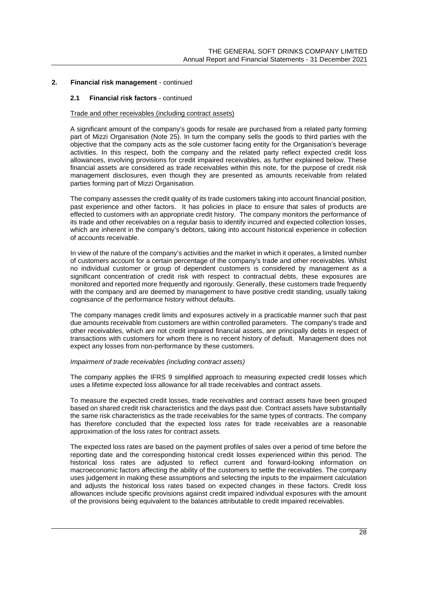### **2.1 Financial risk factors** - continued

## Trade and other receivables (including contract assets)

A significant amount of the company's goods for resale are purchased from a related party forming part of Mizzi Organisation (Note 25). In turn the company sells the goods to third parties with the objective that the company acts as the sole customer facing entity for the Organisation's beverage activities. In this respect, both the company and the related party reflect expected credit loss allowances, involving provisions for credit impaired receivables, as further explained below. These financial assets are considered as trade receivables within this note, for the purpose of credit risk management disclosures, even though they are presented as amounts receivable from related parties forming part of Mizzi Organisation.

The company assesses the credit quality of its trade customers taking into account financial position, past experience and other factors. It has policies in place to ensure that sales of products are effected to customers with an appropriate credit history. The company monitors the performance of its trade and other receivables on a regular basis to identify incurred and expected collection losses, which are inherent in the company's debtors, taking into account historical experience in collection of accounts receivable.

In view of the nature of the company's activities and the market in which it operates, a limited number of customers account for a certain percentage of the company's trade and other receivables. Whilst no individual customer or group of dependent customers is considered by management as a significant concentration of credit risk with respect to contractual debts, these exposures are monitored and reported more frequently and rigorously. Generally, these customers trade frequently with the company and are deemed by management to have positive credit standing, usually taking cognisance of the performance history without defaults.

The company manages credit limits and exposures actively in a practicable manner such that past due amounts receivable from customers are within controlled parameters. The company's trade and other receivables, which are not credit impaired financial assets, are principally debts in respect of transactions with customers for whom there is no recent history of default. Management does not expect any losses from non-performance by these customers.

### *Impairment of trade receivables (including contract assets)*

The company applies the IFRS 9 simplified approach to measuring expected credit losses which uses a lifetime expected loss allowance for all trade receivables and contract assets.

To measure the expected credit losses, trade receivables and contract assets have been grouped based on shared credit risk characteristics and the days past due. Contract assets have substantially the same risk characteristics as the trade receivables for the same types of contracts. The company has therefore concluded that the expected loss rates for trade receivables are a reasonable approximation of the loss rates for contract assets.

The expected loss rates are based on the payment profiles of sales over a period of time before the reporting date and the corresponding historical credit losses experienced within this period. The historical loss rates are adjusted to reflect current and forward-looking information on macroeconomic factors affecting the ability of the customers to settle the receivables. The company uses judgement in making these assumptions and selecting the inputs to the impairment calculation and adjusts the historical loss rates based on expected changes in these factors. Credit loss allowances include specific provisions against credit impaired individual exposures with the amount of the provisions being equivalent to the balances attributable to credit impaired receivables.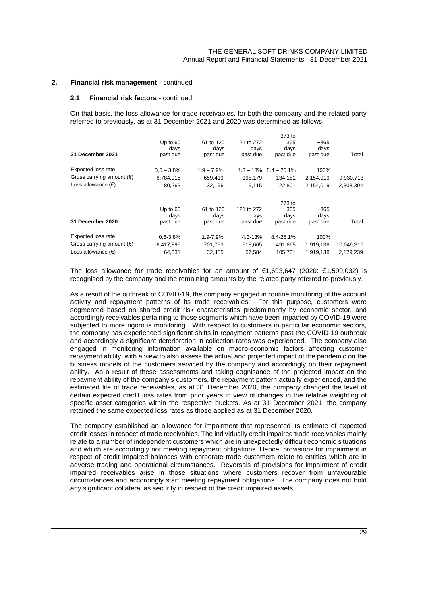#### **2.1 Financial risk factors** - continued

On that basis, the loss allowance for trade receivables, for both the company and the related party referred to previously, as at 31 December 2021 and 2020 was determined as follows:

|                                    |               |              |            | 273 to                      |           |            |
|------------------------------------|---------------|--------------|------------|-----------------------------|-----------|------------|
|                                    | Up to 60      | 61 to 120    | 121 to 272 | 365                         | +365      |            |
|                                    | days          | days         | days       | days                        | days      |            |
| 31 December 2021                   | past due      | past due     | past due   | past due                    | past due  | Total      |
| Expected loss rate                 | $0.5 - 3.8\%$ | $1.9 - 7.9%$ |            | $4.3 - 13\%$ $8.4 - 25.1\%$ | 100%      |            |
| Gross carrying amount $(\epsilon)$ | 6,784,915     | 659,419      | 198,179    | 134,181                     | 2,154,019 | 9,930,713  |
| Loss allowance $(\epsilon)$        | 80,263        | 32,196       | 19,115     | 22.801                      | 2,154,019 | 2,308,394  |
|                                    |               |              |            | 273 to                      |           |            |
|                                    | Up to 60      | 61 to 120    | 121 to 272 | 365                         | +365      |            |
|                                    | days          | days         | days       | days                        | days      |            |
| 31 December 2020                   | past due      | past due     | past due   | past due                    | past due  | Total      |
| Expected loss rate                 | $0.5 - 3.8%$  | 1.9-7.9%     | 4.3-13%    | 8.4-25.1%                   | 100%      |            |
| Gross carrying amount $(\epsilon)$ | 6,417,895     | 701,753      | 518,665    | 491,865                     | 1,919,138 | 10,049,316 |
| Loss allowance $(\epsilon)$        | 64,331        | 32,485       | 57,584     | 105,701                     | 1,919,138 | 2,179,239  |

The loss allowance for trade receivables for an amount of  $\epsilon$ 1,693,647 (2020:  $\epsilon$ 1,599,032) is recognised by the company and the remaining amounts by the related party referred to previously.

As a result of the outbreak of COVID-19, the company engaged in routine monitoring of the account activity and repayment patterns of its trade receivables. For this purpose, customers were segmented based on shared credit risk characteristics predominantly by economic sector, and accordingly receivables pertaining to those segments which have been impacted by COVID-19 were subjected to more rigorous monitoring. With respect to customers in particular economic sectors, the company has experienced significant shifts in repayment patterns post the COVID-19 outbreak and accordingly a significant deterioration in collection rates was experienced. The company also engaged in monitoring information available on macro-economic factors affecting customer repayment ability, with a view to also assess the actual and projected impact of the pandemic on the business models of the customers serviced by the company and accordingly on their repayment ability. As a result of these assessments and taking cognisance of the projected impact on the repayment ability of the company's customers, the repayment pattern actually experienced, and the estimated life of trade receivables, as at 31 December 2020, the company changed the level of certain expected credit loss rates from prior years in view of changes in the relative weighting of specific asset categories within the respective buckets. As at 31 December 2021, the company retained the same expected loss rates as those applied as at 31 December 2020.

The company established an allowance for impairment that represented its estimate of expected credit losses in respect of trade receivables. The individually credit impaired trade receivables mainly relate to a number of independent customers which are in unexpectedly difficult economic situations and which are accordingly not meeting repayment obligations. Hence, provisions for impairment in respect of credit impaired balances with corporate trade customers relate to entities which are in adverse trading and operational circumstances. Reversals of provisions for impairment of credit impaired receivables arise in those situations where customers recover from unfavourable circumstances and accordingly start meeting repayment obligations. The company does not hold any significant collateral as security in respect of the credit impaired assets.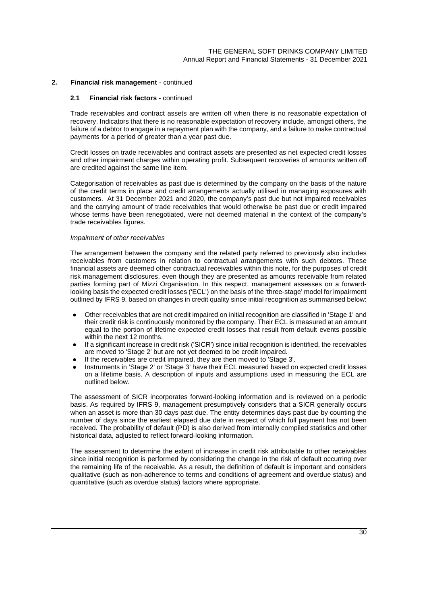### **2.1 Financial risk factors** - continued

Trade receivables and contract assets are written off when there is no reasonable expectation of recovery. Indicators that there is no reasonable expectation of recovery include, amongst others, the failure of a debtor to engage in a repayment plan with the company, and a failure to make contractual payments for a period of greater than a year past due.

Credit losses on trade receivables and contract assets are presented as net expected credit losses and other impairment charges within operating profit. Subsequent recoveries of amounts written off are credited against the same line item.

Categorisation of receivables as past due is determined by the company on the basis of the nature of the credit terms in place and credit arrangements actually utilised in managing exposures with customers. At 31 December 2021 and 2020, the company's past due but not impaired receivables and the carrying amount of trade receivables that would otherwise be past due or credit impaired whose terms have been renegotiated, were not deemed material in the context of the company's trade receivables figures.

### *Impairment of other receivables*

The arrangement between the company and the related party referred to previously also includes receivables from customers in relation to contractual arrangements with such debtors. These financial assets are deemed other contractual receivables within this note, for the purposes of credit risk management disclosures, even though they are presented as amounts receivable from related parties forming part of Mizzi Organisation. In this respect, management assesses on a forwardlooking basis the expected credit losses ('ECL') on the basis of the 'three-stage' model for impairment outlined by IFRS 9, based on changes in credit quality since initial recognition as summarised below:

- Other receivables that are not credit impaired on initial recognition are classified in 'Stage 1' and their credit risk is continuously monitored by the company. Their ECL is measured at an amount equal to the portion of lifetime expected credit losses that result from default events possible within the next 12 months.
- If a significant increase in credit risk ('SICR') since initial recognition is identified, the receivables are moved to 'Stage 2' but are not yet deemed to be credit impaired.
- If the receivables are credit impaired, they are then moved to 'Stage 3'.
- Instruments in 'Stage 2' or 'Stage 3' have their ECL measured based on expected credit losses on a lifetime basis. A description of inputs and assumptions used in measuring the ECL are outlined below.

The assessment of SICR incorporates forward-looking information and is reviewed on a periodic basis. As required by IFRS 9, management presumptively considers that a SICR generally occurs when an asset is more than 30 days past due. The entity determines days past due by counting the number of days since the earliest elapsed due date in respect of which full payment has not been received. The probability of default (PD) is also derived from internally compiled statistics and other historical data, adjusted to reflect forward-looking information.

The assessment to determine the extent of increase in credit risk attributable to other receivables since initial recognition is performed by considering the change in the risk of default occurring over the remaining life of the receivable. As a result, the definition of default is important and considers qualitative (such as non-adherence to terms and conditions of agreement and overdue status) and quantitative (such as overdue status) factors where appropriate.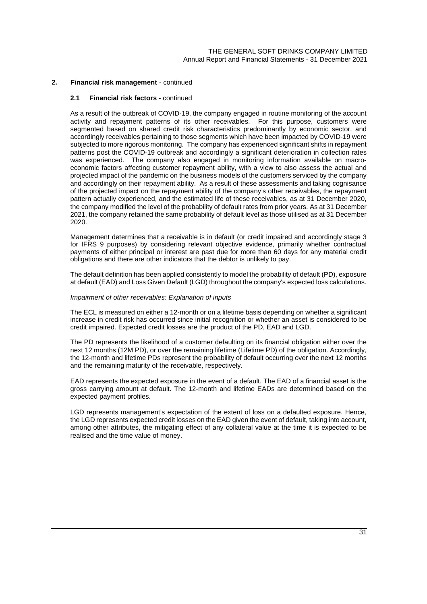## **2.1 Financial risk factors** - continued

As a result of the outbreak of COVID-19, the company engaged in routine monitoring of the account activity and repayment patterns of its other receivables. For this purpose, customers were segmented based on shared credit risk characteristics predominantly by economic sector, and accordingly receivables pertaining to those segments which have been impacted by COVID-19 were subjected to more rigorous monitoring. The company has experienced significant shifts in repayment patterns post the COVID-19 outbreak and accordingly a significant deterioration in collection rates was experienced. The company also engaged in monitoring information available on macroeconomic factors affecting customer repayment ability, with a view to also assess the actual and projected impact of the pandemic on the business models of the customers serviced by the company and accordingly on their repayment ability. As a result of these assessments and taking cognisance of the projected impact on the repayment ability of the company's other receivables, the repayment pattern actually experienced, and the estimated life of these receivables, as at 31 December 2020, the company modified the level of the probability of default rates from prior years. As at 31 December 2021, the company retained the same probability of default level as those utilised as at 31 December 2020.

Management determines that a receivable is in default (or credit impaired and accordingly stage 3 for IFRS 9 purposes) by considering relevant objective evidence, primarily whether contractual payments of either principal or interest are past due for more than 60 days for any material credit obligations and there are other indicators that the debtor is unlikely to pay.

The default definition has been applied consistently to model the probability of default (PD), exposure at default (EAD) and Loss Given Default (LGD) throughout the company's expected loss calculations.

### *Impairment of other receivables: Explanation of inputs*

The ECL is measured on either a 12-month or on a lifetime basis depending on whether a significant increase in credit risk has occurred since initial recognition or whether an asset is considered to be credit impaired. Expected credit losses are the product of the PD, EAD and LGD.

The PD represents the likelihood of a customer defaulting on its financial obligation either over the next 12 months (12M PD), or over the remaining lifetime (Lifetime PD) of the obligation. Accordingly, the 12-month and lifetime PDs represent the probability of default occurring over the next 12 months and the remaining maturity of the receivable, respectively.

EAD represents the expected exposure in the event of a default. The EAD of a financial asset is the gross carrying amount at default. The 12-month and lifetime EADs are determined based on the expected payment profiles.

LGD represents management's expectation of the extent of loss on a defaulted exposure. Hence, the LGD represents expected credit losses on the EAD given the event of default, taking into account, among other attributes, the mitigating effect of any collateral value at the time it is expected to be realised and the time value of money.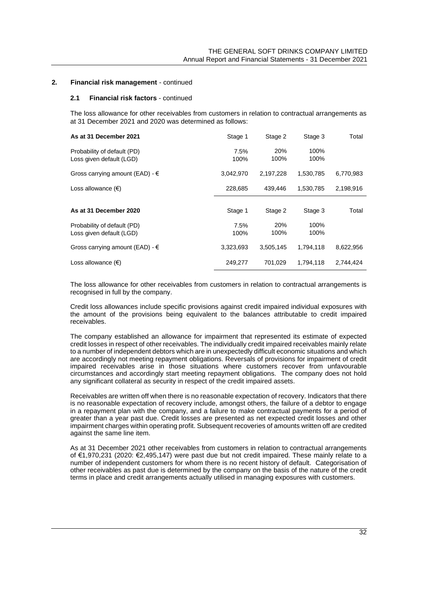#### **2.1 Financial risk factors** - continued

The loss allowance for other receivables from customers in relation to contractual arrangements as at 31 December 2021 and 2020 was determined as follows:

| As at 31 December 2021                                  | Stage 1      | Stage 2     | Stage 3      | Total     |
|---------------------------------------------------------|--------------|-------------|--------------|-----------|
| Probability of default (PD)<br>Loss given default (LGD) | 7.5%<br>100% | 20%<br>100% | 100%<br>100% |           |
| Gross carrying amount (EAD) - €                         | 3,042,970    | 2,197,228   | 1,530,785    | 6,770,983 |
| Loss allowance $(\epsilon)$                             | 228,685      | 439.446     | 1,530,785    | 2,198,916 |
|                                                         |              |             |              |           |
| As at 31 December 2020                                  | Stage 1      | Stage 2     | Stage 3      | Total     |
| Probability of default (PD)                             | 7.5%         | 20%         | 100%         |           |
| Loss given default (LGD)                                | 100%         | 100%        | 100%         |           |
| Gross carrying amount (EAD) - $\epsilon$                | 3,323,693    | 3,505,145   | 1,794,118    | 8,622,956 |
| Loss allowance $(\epsilon)$                             | 249.277      | 701.029     | 1,794,118    | 2.744.424 |

The loss allowance for other receivables from customers in relation to contractual arrangements is recognised in full by the company.

Credit loss allowances include specific provisions against credit impaired individual exposures with the amount of the provisions being equivalent to the balances attributable to credit impaired receivables.

The company established an allowance for impairment that represented its estimate of expected credit losses in respect of other receivables. The individually credit impaired receivables mainly relate to a number of independent debtors which are in unexpectedly difficult economic situations and which are accordingly not meeting repayment obligations. Reversals of provisions for impairment of credit impaired receivables arise in those situations where customers recover from unfavourable circumstances and accordingly start meeting repayment obligations. The company does not hold any significant collateral as security in respect of the credit impaired assets.

Receivables are written off when there is no reasonable expectation of recovery. Indicators that there is no reasonable expectation of recovery include, amongst others, the failure of a debtor to engage in a repayment plan with the company, and a failure to make contractual payments for a period of greater than a year past due. Credit losses are presented as net expected credit losses and other impairment charges within operating profit. Subsequent recoveries of amounts written off are credited against the same line item.

As at 31 December 2021 other receivables from customers in relation to contractual arrangements of €1,970,231 (2020: €2,495,147) were past due but not credit impaired. These mainly relate to a number of independent customers for whom there is no recent history of default. Categorisation of other receivables as past due is determined by the company on the basis of the nature of the credit terms in place and credit arrangements actually utilised in managing exposures with customers.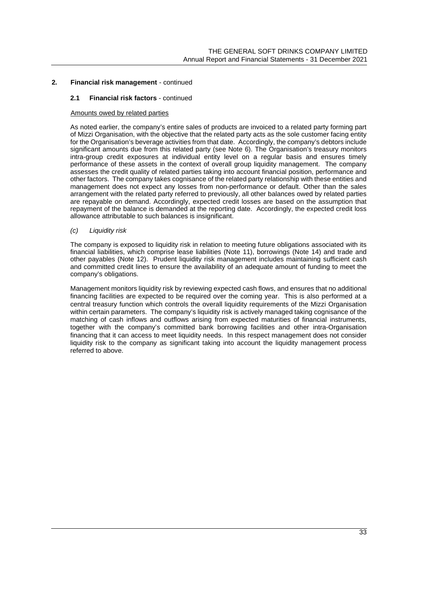### **2.1 Financial risk factors** - continued

#### Amounts owed by related parties

As noted earlier, the company's entire sales of products are invoiced to a related party forming part of Mizzi Organisation, with the objective that the related party acts as the sole customer facing entity for the Organisation's beverage activities from that date. Accordingly, the company's debtors include significant amounts due from this related party (see Note 6). The Organisation's treasury monitors intra-group credit exposures at individual entity level on a regular basis and ensures timely performance of these assets in the context of overall group liquidity management. The company assesses the credit quality of related parties taking into account financial position, performance and other factors. The company takes cognisance of the related party relationship with these entities and management does not expect any losses from non-performance or default. Other than the sales arrangement with the related party referred to previously, all other balances owed by related parties are repayable on demand. Accordingly, expected credit losses are based on the assumption that repayment of the balance is demanded at the reporting date. Accordingly, the expected credit loss allowance attributable to such balances is insignificant.

### *(c) Liquidity risk*

The company is exposed to liquidity risk in relation to meeting future obligations associated with its financial liabilities, which comprise lease liabilities (Note 11), borrowings (Note 14) and trade and other payables (Note 12). Prudent liquidity risk management includes maintaining sufficient cash and committed credit lines to ensure the availability of an adequate amount of funding to meet the company's obligations.

Management monitors liquidity risk by reviewing expected cash flows, and ensures that no additional financing facilities are expected to be required over the coming year. This is also performed at a central treasury function which controls the overall liquidity requirements of the Mizzi Organisation within certain parameters. The company's liquidity risk is actively managed taking cognisance of the matching of cash inflows and outflows arising from expected maturities of financial instruments, together with the company's committed bank borrowing facilities and other intra-Organisation financing that it can access to meet liquidity needs. In this respect management does not consider liquidity risk to the company as significant taking into account the liquidity management process referred to above.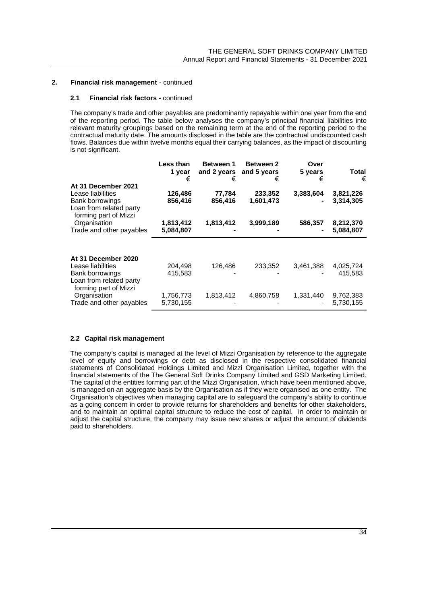### **2.1 Financial risk factors** - continued

The company's trade and other payables are predominantly repayable within one year from the end of the reporting period. The table below analyses the company's principal financial liabilities into relevant maturity groupings based on the remaining term at the end of the reporting period to the contractual maturity date. The amounts disclosed in the table are the contractual undiscounted cash flows. Balances due within twelve months equal their carrying balances, as the impact of discounting is not significant.

|                                                                                          | Less than<br>1 year<br>€ | <b>Between 1</b><br>and 2 years<br>€ | <b>Between 2</b><br>and 5 years<br>€ | Over<br>5 vears<br>€ | Total<br>€             |
|------------------------------------------------------------------------------------------|--------------------------|--------------------------------------|--------------------------------------|----------------------|------------------------|
| At 31 December 2021<br>Lease liabilities                                                 | 126.486                  | 77,784                               | 233,352                              | 3,383,604            | 3,821,226              |
| Bank borrowings<br>Loan from related party<br>forming part of Mizzi                      | 856,416                  | 856,416                              | 1,601,473                            |                      | 3,314,305              |
| Organisation<br>Trade and other payables                                                 | 1,813,412<br>5,084,807   | 1,813,412                            | 3,999,189                            | 586,357              | 8,212,370<br>5,084,807 |
|                                                                                          |                          |                                      |                                      |                      |                        |
| At 31 December 2020                                                                      |                          |                                      |                                      |                      |                        |
| Lease liabilities<br>Bank borrowings<br>Loan from related party<br>forming part of Mizzi | 204,498<br>415,583       | 126,486                              | 233,352                              | 3,461,388            | 4,025,724<br>415,583   |
| Organisation<br>Trade and other payables                                                 | 1,756,773<br>5,730,155   | 1,813,412                            | 4,860,758                            | 1,331,440            | 9,762,383<br>5,730,155 |

### **2.2 Capital risk management**

The company's capital is managed at the level of Mizzi Organisation by reference to the aggregate level of equity and borrowings or debt as disclosed in the respective consolidated financial statements of Consolidated Holdings Limited and Mizzi Organisation Limited, together with the financial statements of the The General Soft Drinks Company Limited and GSD Marketing Limited. The capital of the entities forming part of the Mizzi Organisation, which have been mentioned above, is managed on an aggregate basis by the Organisation as if they were organised as one entity. The Organisation's objectives when managing capital are to safeguard the company's ability to continue as a going concern in order to provide returns for shareholders and benefits for other stakeholders, and to maintain an optimal capital structure to reduce the cost of capital. In order to maintain or adjust the capital structure, the company may issue new shares or adjust the amount of dividends paid to shareholders.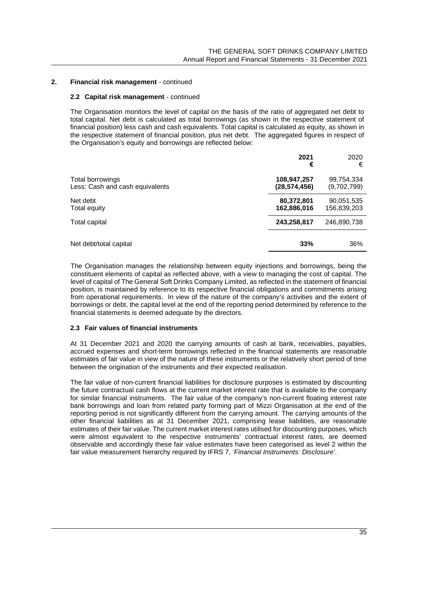## **2.2 Capital risk management** - continued

The Organisation monitors the level of capital on the basis of the ratio of aggregated net debt to total capital. Net debt is calculated as total borrowings (as shown in the respective statement of financial position) less cash and cash equivalents. Total capital is calculated as equity, as shown in the respective statement of financial position, plus net debt. The aggregated figures in respect of the Organisation's equity and borrowings are reflected below:

|                                                     | 2021<br>€                   | 2020<br>€                 |
|-----------------------------------------------------|-----------------------------|---------------------------|
| Total borrowings<br>Less: Cash and cash equivalents | 108,947,257<br>(28.574.456) | 99,754,334<br>(9,702,799) |
| Net debt<br>Total equity                            | 80,372,801<br>162,886,016   | 90,051,535<br>156,839,203 |
| Total capital                                       | 243,258,817                 | 246,890,738               |
| Net debt/total capital                              | 33%                         | 36%                       |

The Organisation manages the relationship between equity injections and borrowings, being the constituent elements of capital as reflected above, with a view to managing the cost of capital. The level of capital of The General Soft Drinks Company Limited, as reflected in the statement of financial position, is maintained by reference to its respective financial obligations and commitments arising from operational requirements. In view of the nature of the company's activities and the extent of borrowings or debt, the capital level at the end of the reporting period determined by reference to the financial statements is deemed adequate by the directors.

### **2.3 Fair values of financial instruments**

At 31 December 2021 and 2020 the carrying amounts of cash at bank, receivables, payables, accrued expenses and short-term borrowings reflected in the financial statements are reasonable estimates of fair value in view of the nature of these instruments or the relatively short period of time between the origination of the instruments and their expected realisation.

The fair value of non-current financial liabilities for disclosure purposes is estimated by discounting the future contractual cash flows at the current market interest rate that is available to the company for similar financial instruments. The fair value of the company's non-current floating interest rate bank borrowings and loan from related party forming part of Mizzi Organisation at the end of the reporting period is not significantly different from the carrying amount. The carrying amounts of the other financial liabilities as at 31 December 2021, comprising lease liabilities, are reasonable estimates of their fair value. The current market interest rates utilised for discounting purposes, which were almost equivalent to the respective instruments' contractual interest rates, are deemed observable and accordingly these fair value estimates have been categorised as level 2 within the fair value measurement hierarchy required by IFRS 7, *'Financial Instruments: Disclosure'*.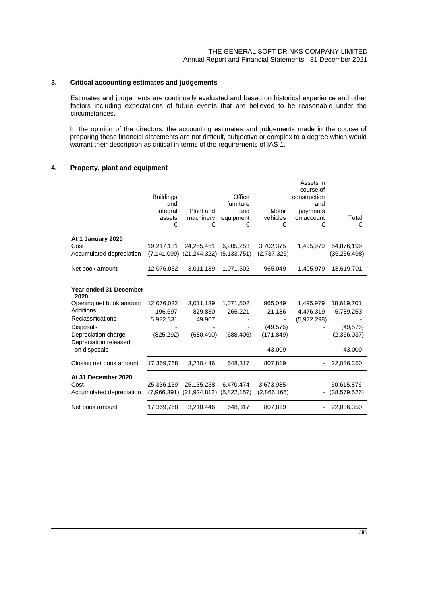## **3. Critical accounting estimates and judgements**

Estimates and judgements are continually evaluated and based on historical experience and other factors including expectations of future events that are believed to be reasonable under the circumstances.

In the opinion of the directors, the accounting estimates and judgements made in the course of preparing these financial statements are not difficult, subjective or complex to a degree which would warrant their description as critical in terms of the requirements of IAS 1.

## **4. Property, plant and equipment**

|                                       | <b>Buildings</b><br>and<br>integral<br>assets<br>€ | Plant and<br>machinery<br>€                      | Office<br>furniture<br>and<br>equipment<br>€ | Motor<br>vehicles<br>€ | Assets in<br>course of<br>construction<br>and<br>payments<br>on account<br>€ | Total<br>€     |
|---------------------------------------|----------------------------------------------------|--------------------------------------------------|----------------------------------------------|------------------------|------------------------------------------------------------------------------|----------------|
| At 1 January 2020                     |                                                    |                                                  |                                              |                        |                                                                              |                |
| Cost                                  | 19,217,131                                         | 24,255,461                                       | 6,205,253                                    | 3,702,375              | 1,495,979                                                                    | 54,876,199     |
| Accumulated depreciation              |                                                    | $(7, 141, 099)$ $(21, 244, 322)$ $(5, 133, 751)$ |                                              | (2,737,326)            |                                                                              | (36, 256, 498) |
| Net book amount                       | 12,076,032                                         | 3,011,139                                        | 1,071,502                                    | 965,049                | 1,495,979                                                                    | 18,619,701     |
| Year ended 31 December<br>2020        |                                                    |                                                  |                                              |                        |                                                                              |                |
| Opening net book amount               | 12,076,032                                         | 3,011,139                                        | 1,071,502                                    | 965,049                | 1,495,979                                                                    | 18,619,701     |
| Additions                             | 196,697                                            | 829,830                                          | 265,221                                      | 21,186                 | 4,476,319                                                                    | 5,789,253      |
| Reclassifications                     | 5,922,331                                          | 49,967                                           |                                              |                        | (5,972,298)                                                                  |                |
| Disposals                             |                                                    |                                                  |                                              | (49, 576)              |                                                                              | (49, 576)      |
| Depreciation charge                   | (825, 292)                                         | (680, 490)                                       | (688, 406)                                   | (171, 849)             |                                                                              | (2,366,037)    |
| Depreciation released<br>on disposals |                                                    |                                                  |                                              | 43,009                 |                                                                              | 43,009         |
| Closing net book amount               | 17,369,768                                         | 3,210,446                                        | 648,317                                      | 807,819                |                                                                              | 22,036,350     |
| At 31 December 2020                   |                                                    |                                                  |                                              |                        |                                                                              |                |
| Cost                                  | 25,336,159                                         | 25,135,258                                       | 6,470,474                                    | 3,673,985              |                                                                              | 60,615,876     |
| Accumulated depreciation              |                                                    | $(7,966,391)$ $(21,924,812)$ $(5,822,157)$       |                                              | (2,866,166)            |                                                                              | (38, 579, 526) |
| Net book amount                       | 17,369,768                                         | 3,210,446                                        | 648,317                                      | 807,819                |                                                                              | 22,036,350     |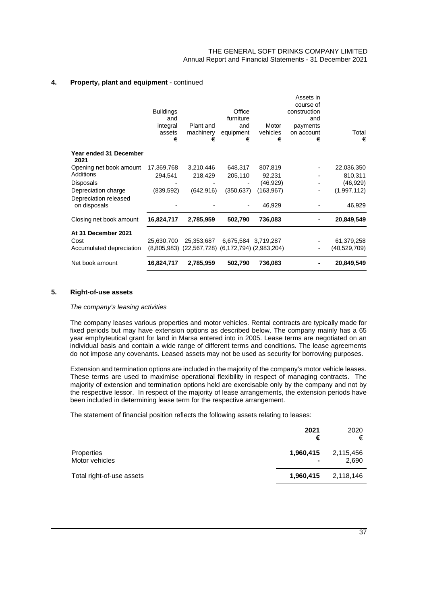## **4. Property, plant and equipment** - continued

| Net book amount                                           | 16,824,717       | 2,785,959                                                | 502,790        | 736,083             |                 | 20,849,549     |
|-----------------------------------------------------------|------------------|----------------------------------------------------------|----------------|---------------------|-----------------|----------------|
| Accumulated depreciation                                  |                  | $(8,805,983)$ $(22,567,728)$ $(6,172,794)$ $(2,983,204)$ |                |                     |                 | (40, 529, 709) |
| At 31 December 2021<br>Cost                               | 25,630,700       | 25,353,687                                               |                | 6,675,584 3,719,287 |                 | 61,379,258     |
| Closing net book amount                                   | 16,824,717       | 2,785,959                                                | 502,790        | 736,083             |                 | 20,849,549     |
| Depreciation released<br>on disposals                     |                  |                                                          |                | 46,929              |                 | 46,929         |
| Depreciation charge                                       | (839, 592)       | (642, 916)                                               | (350, 637)     | (163, 967)          |                 | (1,997,112)    |
| <b>Disposals</b>                                          |                  |                                                          |                | (46, 929)           |                 | (46, 929)      |
| <b>Additions</b>                                          | 294,541          | 218,429                                                  | 205,110        | 92,231              |                 | 810,311        |
| Year ended 31 December<br>2021<br>Opening net book amount | 17,369,768       | 3,210,446                                                | 648,317        | 807,819             |                 | 22,036,350     |
|                                                           |                  |                                                          |                |                     |                 |                |
|                                                           | assets<br>€      | machinery<br>€                                           | equipment<br>€ | vehicles<br>€       | on account<br>€ | Total<br>€     |
|                                                           | integral         | Plant and                                                | and            | Motor               | payments        |                |
|                                                           | and              |                                                          | furniture      |                     | and             |                |
|                                                           | <b>Buildings</b> |                                                          | Office         |                     | construction    |                |
|                                                           |                  |                                                          |                |                     | course of       |                |
|                                                           |                  |                                                          |                |                     | Assets in       |                |

## **5. Right-of-use assets**

#### *The company's leasing activities*

The company leases various properties and motor vehicles. Rental contracts are typically made for fixed periods but may have extension options as described below. The company mainly has a 65 year emphyteutical grant for land in Marsa entered into in 2005. Lease terms are negotiated on an individual basis and contain a wide range of different terms and conditions. The lease agreements do not impose any covenants. Leased assets may not be used as security for borrowing purposes.

Extension and termination options are included in the majority of the company's motor vehicle leases. These terms are used to maximise operational flexibility in respect of managing contracts. The majority of extension and termination options held are exercisable only by the company and not by the respective lessor. In respect of the majority of lease arrangements, the extension periods have been included in determining lease term for the respective arrangement.

The statement of financial position reflects the following assets relating to leases:

|                              | 2021<br>€                             | 2020<br>€          |
|------------------------------|---------------------------------------|--------------------|
| Properties<br>Motor vehicles | 1,960,415<br>$\overline{\phantom{a}}$ | 2,115,456<br>2,690 |
| Total right-of-use assets    | 1,960,415                             | 2,118,146          |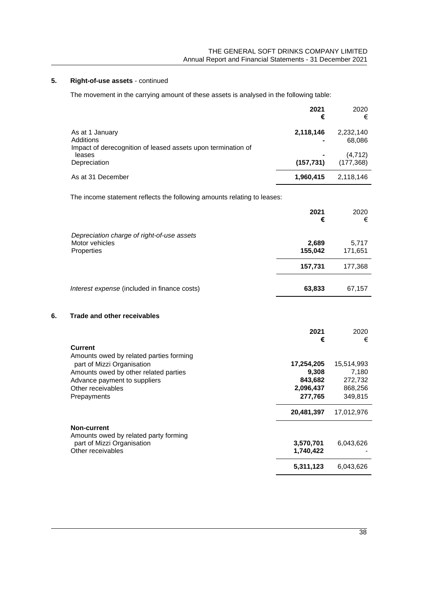## **5. Right-of-use assets** - continued

The movement in the carrying amount of these assets is analysed in the following table:

|                                                                                              | 2021<br>€  | 2020<br>€              |
|----------------------------------------------------------------------------------------------|------------|------------------------|
| As at 1 January<br>Additions<br>Impact of derecognition of leased assets upon termination of | 2,118,146  | 2,232,140<br>68,086    |
| leases<br>Depreciation                                                                       | (157, 731) | (4, 712)<br>(177, 368) |
| As at 31 December                                                                            | 1,960,415  | 2,118,146              |

The income statement reflects the following amounts relating to leases:

|                                              | 2021<br>€        | 2020<br>€        |
|----------------------------------------------|------------------|------------------|
| Depreciation charge of right-of-use assets   |                  |                  |
| Motor vehicles<br>Properties                 | 2,689<br>155,042 | 5,717<br>171,651 |
|                                              | 157,731          | 177,368          |
| Interest expense (included in finance costs) | 63,833           | 67,157           |

## **6. Trade and other receivables**

|                                         | 2021<br>€  | 2020<br>€  |
|-----------------------------------------|------------|------------|
| <b>Current</b>                          |            |            |
| Amounts owed by related parties forming |            |            |
| part of Mizzi Organisation              | 17,254,205 | 15,514,993 |
| Amounts owed by other related parties   | 9,308      | 7,180      |
| Advance payment to suppliers            | 843,682    | 272,732    |
| Other receivables                       | 2,096,437  | 868,256    |
| Prepayments                             | 277,765    | 349.815    |
|                                         | 20,481,397 | 17,012,976 |
| Non-current                             |            |            |
| Amounts owed by related party forming   |            |            |
| part of Mizzi Organisation              | 3,570,701  | 6,043,626  |
| Other receivables                       | 1,740,422  |            |
|                                         | 5,311,123  | 6.043.626  |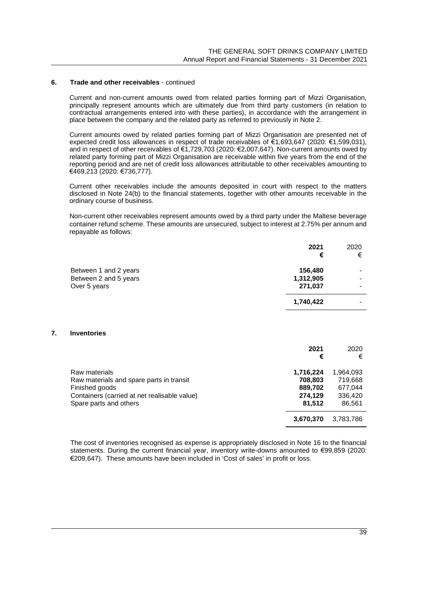## **6. Trade and other receivables** - continued

Current and non-current amounts owed from related parties forming part of Mizzi Organisation, principally represent amounts which are ultimately due from third party customers (in relation to contractual arrangements entered into with these parties), in accordance with the arrangement in place between the company and the related party as referred to previously in Note 2.

Current amounts owed by related parties forming part of Mizzi Organisation are presented net of expected credit loss allowances in respect of trade receivables of €1,693,647 (2020: €1,599,031), and in respect of other receivables of €1,729,703 (2020: €2,007,647). Non-current amounts owed by related party forming part of Mizzi Organisation are receivable within five years from the end of the reporting period and are net of credit loss allowances attributable to other receivables amounting to €469,213 (2020: €736,777).

Current other receivables include the amounts deposited in court with respect to the matters disclosed in Note 24(b) to the financial statements, together with other amounts receivable in the ordinary course of business.

Non-current other receivables represent amounts owed by a third party under the Maltese beverage container refund scheme. These amounts are unsecured, subject to interest at 2.75% per annum and repayable as follows:

|                       | 2021<br>€ | 2020<br>€ |
|-----------------------|-----------|-----------|
| Between 1 and 2 years | 156,480   | -         |
| Between 2 and 5 years | 1,312,905 | -         |
| Over 5 years          | 271,037   | -         |
|                       | 1,740,422 | -         |

## **7. Inventories**

|                                                                                                                                                       | 2021<br>€                                            | 2020<br>€                                            |
|-------------------------------------------------------------------------------------------------------------------------------------------------------|------------------------------------------------------|------------------------------------------------------|
| Raw materials<br>Raw materials and spare parts in transit<br>Finished goods<br>Containers (carried at net realisable value)<br>Spare parts and others | 1,716,224<br>708,803<br>889,702<br>274,129<br>81.512 | 1.964.093<br>719,668<br>677.044<br>336,420<br>86.561 |
|                                                                                                                                                       | 3,670,370                                            | 3,783,786                                            |

The cost of inventories recognised as expense is appropriately disclosed in Note 16 to the financial statements. During the current financial year, inventory write-downs amounted to €99,859 (2020: €209,647). These amounts have been included in 'Cost of sales' in profit or loss.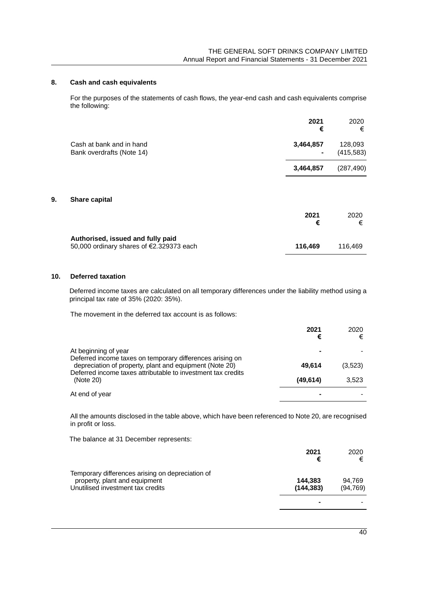## **8. Cash and cash equivalents**

For the purposes of the statements of cash flows, the year-end cash and cash equivalents comprise the following:

|                                                       |                                                                               | 2021<br>€ | 2020<br>€             |
|-------------------------------------------------------|-------------------------------------------------------------------------------|-----------|-----------------------|
| Cash at bank and in hand<br>Bank overdrafts (Note 14) |                                                                               | 3,464,857 | 128,093<br>(415, 583) |
|                                                       |                                                                               | 3,464,857 | (287, 490)            |
| 9.<br>Share capital                                   |                                                                               |           |                       |
|                                                       |                                                                               | 2021<br>€ | 2020<br>€             |
|                                                       | Authorised, issued and fully paid<br>50,000 ordinary shares of €2.329373 each | 116,469   | 116,469               |

### **10. Deferred taxation**

Deferred income taxes are calculated on all temporary differences under the liability method using a principal tax rate of 35% (2020: 35%).

The movement in the deferred tax account is as follows:

|                                                                                                                      | 2021<br>€ | 2020<br>€ |
|----------------------------------------------------------------------------------------------------------------------|-----------|-----------|
| At beginning of year                                                                                                 |           |           |
| Deferred income taxes on temporary differences arising on<br>depreciation of property, plant and equipment (Note 20) | 49.614    | (3,523)   |
| Deferred income taxes attributable to investment tax credits<br>(Note 20)                                            | (49, 614) | 3,523     |
| At end of year                                                                                                       |           |           |

All the amounts disclosed in the table above, which have been referenced to Note 20, are recognised in profit or loss.

The balance at 31 December represents:

|                                                                                                                        | 2021                 | 2020<br>€           |
|------------------------------------------------------------------------------------------------------------------------|----------------------|---------------------|
| Temporary differences arising on depreciation of<br>property, plant and equipment<br>Unutilised investment tax credits | 144.383<br>(144.383) | 94.769<br>(94, 769) |
|                                                                                                                        |                      |                     |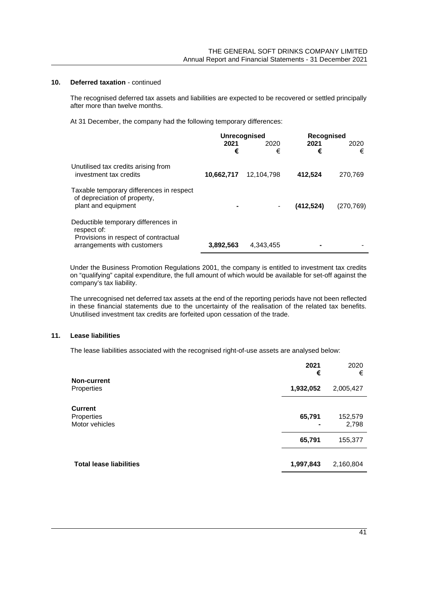### **10. Deferred taxation** - continued

The recognised deferred tax assets and liabilities are expected to be recovered or settled principally after more than twelve months.

At 31 December, the company had the following temporary differences:

|                                                                                                 | Unrecognised<br>2021<br>2020 |                | <b>Recognised</b><br>2021 |            |
|-------------------------------------------------------------------------------------------------|------------------------------|----------------|---------------------------|------------|
|                                                                                                 | €                            | €              | €                         | €          |
| Unutilised tax credits arising from<br>investment tax credits                                   | 10,662,717                   | 12.104.798     | 412,524                   | 270.769    |
| Taxable temporary differences in respect<br>of depreciation of property,<br>plant and equipment |                              | $\blacksquare$ | (412, 524)                | (270, 769) |
| Deductible temporary differences in<br>respect of:<br>Provisions in respect of contractual      |                              |                |                           |            |
| arrangements with customers                                                                     | 3,892,563                    | 4.343.455      |                           |            |

Under the Business Promotion Regulations 2001, the company is entitled to investment tax credits on "qualifying" capital expenditure, the full amount of which would be available for set-off against the company's tax liability.

The unrecognised net deferred tax assets at the end of the reporting periods have not been reflected in these financial statements due to the uncertainty of the realisation of the related tax benefits. Unutilised investment tax credits are forfeited upon cessation of the trade.

### **11. Lease liabilities**

The lease liabilities associated with the recognised right-of-use assets are analysed below:

|                                                | 2021<br>€ | 2020<br>€        |
|------------------------------------------------|-----------|------------------|
| Non-current<br>Properties                      | 1,932,052 | 2,005,427        |
| <b>Current</b><br>Properties<br>Motor vehicles | 65,791    | 152,579<br>2,798 |
|                                                | 65,791    | 155,377          |
| <b>Total lease liabilities</b>                 | 1,997,843 | 2,160,804        |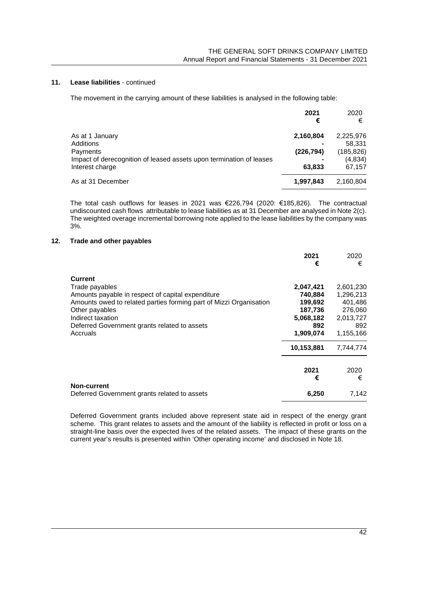## **11. Lease liabilities** - continued

The movement in the carrying amount of these liabilities is analysed in the following table:

|                                                                     | 2021<br>€  | 2020<br>€  |
|---------------------------------------------------------------------|------------|------------|
| As at 1 January                                                     | 2,160,804  | 2,225,976  |
| Additions                                                           |            | 58.331     |
| Payments                                                            | (226, 794) | (185, 826) |
| Impact of derecognition of leased assets upon termination of leases |            | (4,834)    |
| Interest charge                                                     | 63.833     | 67,157     |
| As at 31 December                                                   | 1,997,843  | 2,160,804  |

The total cash outflows for leases in 2021 was €226,794 (2020: €185,826). The contractual undiscounted cash flows attributable to lease liabilities as at 31 December are analysed in Note 2(c). The weighted overage incremental borrowing note applied to the lease liabilities by the company was 3%.

## **12. Trade and other payables**

|                                                                    | 2021<br>€  | 2020<br>€ |
|--------------------------------------------------------------------|------------|-----------|
| Current                                                            |            |           |
| Trade payables                                                     | 2,047,421  | 2,601,230 |
| Amounts payable in respect of capital expenditure                  | 740,884    | 1,296,213 |
| Amounts owed to related parties forming part of Mizzi Organisation | 199,692    | 401,486   |
| Other payables                                                     | 187,736    | 276,060   |
| Indirect taxation                                                  | 5,068,182  | 2,013,727 |
| Deferred Government grants related to assets                       | 892        | 892       |
| Accruals                                                           | 1,909,074  | 1,155,166 |
|                                                                    | 10,153,881 | 7,744,774 |
|                                                                    | 2021<br>€  | 2020<br>€ |
| <b>Non-current</b><br>Deferred Government grants related to assets | 6,250      | 7,142     |

Deferred Government grants included above represent state aid in respect of the energy grant scheme. This grant relates to assets and the amount of the liability is reflected in profit or loss on a straight-line basis over the expected lives of the related assets. The impact of these grants on the current year's results is presented within 'Other operating income' and disclosed in Note 18.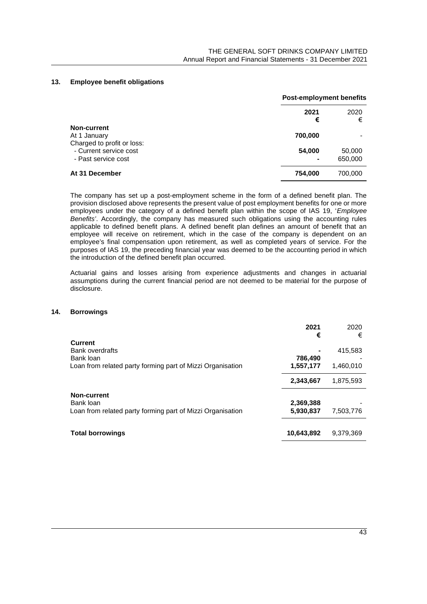## **13. Employee benefit obligations**

|                                                                             |           | <b>Post-employment benefits</b> |  |
|-----------------------------------------------------------------------------|-----------|---------------------------------|--|
|                                                                             | 2021<br>€ | 2020<br>€                       |  |
| Non-current<br>At 1 January                                                 | 700,000   |                                 |  |
| Charged to profit or loss:<br>- Current service cost<br>- Past service cost | 54,000    | 50,000<br>650,000               |  |
| At 31 December                                                              | 754,000   | 700,000                         |  |

The company has set up a post-employment scheme in the form of a defined benefit plan. The provision disclosed above represents the present value of post employment benefits for one or more employees under the category of a defined benefit plan within the scope of IAS 19, '*Employee Benefits'*. Accordingly, the company has measured such obligations using the accounting rules applicable to defined benefit plans. A defined benefit plan defines an amount of benefit that an employee will receive on retirement, which in the case of the company is dependent on an employee's final compensation upon retirement, as well as completed years of service. For the purposes of IAS 19, the preceding financial year was deemed to be the accounting period in which the introduction of the defined benefit plan occurred.

Actuarial gains and losses arising from experience adjustments and changes in actuarial assumptions during the current financial period are not deemed to be material for the purpose of disclosure.

### **14. Borrowings**

|                                                            | 2021       | 2020      |
|------------------------------------------------------------|------------|-----------|
| <b>Current</b>                                             | €          | €         |
| <b>Bank overdrafts</b>                                     |            | 415.583   |
| Bank loan                                                  | 786,490    |           |
| Loan from related party forming part of Mizzi Organisation | 1,557,177  | 1,460,010 |
|                                                            | 2,343,667  | 1.875.593 |
| Non-current                                                |            |           |
| Bank loan                                                  | 2,369,388  |           |
| Loan from related party forming part of Mizzi Organisation | 5,930,837  | 7,503,776 |
|                                                            |            |           |
| <b>Total borrowings</b>                                    | 10,643,892 | 9.379.369 |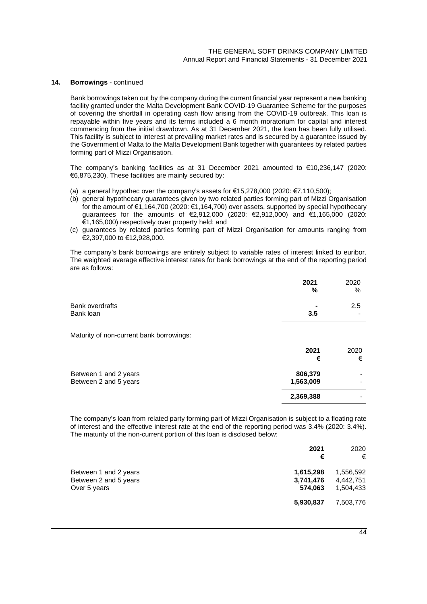### **14. Borrowings** - continued

Bank borrowings taken out by the company during the current financial year represent a new banking facility granted under the Malta Development Bank COVID-19 Guarantee Scheme for the purposes of covering the shortfall in operating cash flow arising from the COVID-19 outbreak. This loan is repayable within five years and its terms included a 6 month moratorium for capital and interest commencing from the initial drawdown. As at 31 December 2021, the loan has been fully utilised. This facility is subject to interest at prevailing market rates and is secured by a guarantee issued by the Government of Malta to the Malta Development Bank together with guarantees by related parties forming part of Mizzi Organisation.

The company's banking facilities as at 31 December 2021 amounted to €10,236,147 (2020: €6,875,230). These facilities are mainly secured by:

- (a) a general hypothec over the company's assets for  $\epsilon$ 15,278,000 (2020:  $\epsilon$ 7,110,500);
- (b) general hypothecary guarantees given by two related parties forming part of Mizzi Organisation for the amount of €1,164,700 (2020: €1,164,700) over assets, supported by special hypothecary guarantees for the amounts of €2,912,000 (2020: €2,912,000) and €1,165,000 (2020:  $\epsilon$ 1,165,000) respectively over property held; and
- (c) guarantees by related parties forming part of Mizzi Organisation for amounts ranging from €2,397,000 to €12,928,000.

The company's bank borrowings are entirely subject to variable rates of interest linked to euribor. The weighted average effective interest rates for bank borrowings at the end of the reporting period are as follows:

|                                                | 2021<br>℅            | 2020<br>% |
|------------------------------------------------|----------------------|-----------|
| <b>Bank overdrafts</b><br>Bank loan            | 3.5                  | 2.5       |
| Maturity of non-current bank borrowings:       |                      |           |
|                                                | 2021<br>€            | 2020<br>€ |
| Between 1 and 2 years<br>Between 2 and 5 years | 806,379<br>1,563,009 |           |
|                                                | 2,369,388            |           |

The company's loan from related party forming part of Mizzi Organisation is subject to a floating rate of interest and the effective interest rate at the end of the reporting period was 3.4% (2020: 3.4%). The maturity of the non-current portion of this loan is disclosed below:

|                       | 2021<br>€ | 2020<br>€ |
|-----------------------|-----------|-----------|
| Between 1 and 2 years | 1,615,298 | 1,556,592 |
| Between 2 and 5 years | 3,741,476 | 4,442,751 |
| Over 5 years          | 574,063   | 1,504,433 |
|                       | 5,930,837 | 7,503,776 |
|                       |           |           |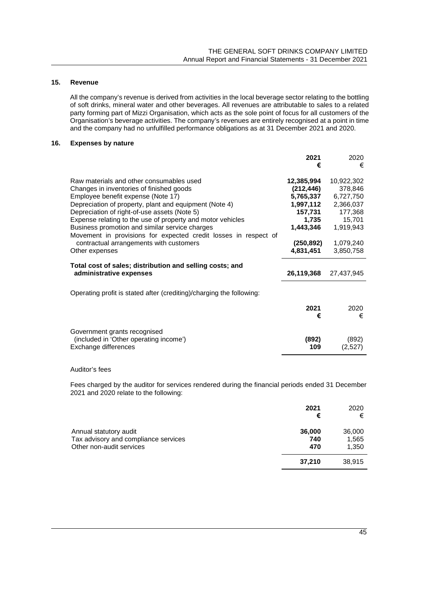## **15. Revenue**

All the company's revenue is derived from activities in the local beverage sector relating to the bottling of soft drinks, mineral water and other beverages. All revenues are attributable to sales to a related party forming part of Mizzi Organisation, which acts as the sole point of focus for all customers of the Organisation's beverage activities. The company's revenues are entirely recognised at a point in time and the company had no unfulfilled performance obligations as at 31 December 2021 and 2020.

## **16. Expenses by nature**

|                                                                                                                                                                                                                                                                                                                                                                                                                                                                                      | 2021<br>€                                                                                                     | 2020<br>€                                                                                                   |
|--------------------------------------------------------------------------------------------------------------------------------------------------------------------------------------------------------------------------------------------------------------------------------------------------------------------------------------------------------------------------------------------------------------------------------------------------------------------------------------|---------------------------------------------------------------------------------------------------------------|-------------------------------------------------------------------------------------------------------------|
| Raw materials and other consumables used<br>Changes in inventories of finished goods<br>Employee benefit expense (Note 17)<br>Depreciation of property, plant and equipment (Note 4)<br>Depreciation of right-of-use assets (Note 5)<br>Expense relating to the use of property and motor vehicles<br>Business promotion and similar service charges<br>Movement in provisions for expected credit losses in respect of<br>contractual arrangements with customers<br>Other expenses | 12,385,994<br>(212, 446)<br>5,765,337<br>1,997,112<br>157,731<br>1,735<br>1,443,346<br>(250,892)<br>4,831,451 | 10,922,302<br>378,846<br>6,727,750<br>2,366,037<br>177,368<br>15,701<br>1,919,943<br>1,079,240<br>3,850,758 |
| Total cost of sales; distribution and selling costs; and<br>administrative expenses                                                                                                                                                                                                                                                                                                                                                                                                  | 26,119,368                                                                                                    | 27,437,945                                                                                                  |
| Operating profit is stated after (crediting)/charging the following:                                                                                                                                                                                                                                                                                                                                                                                                                 |                                                                                                               |                                                                                                             |
|                                                                                                                                                                                                                                                                                                                                                                                                                                                                                      | 2021<br>€                                                                                                     | 2020<br>€                                                                                                   |
| Government grants recognised<br>(included in 'Other operating income')<br>Exchange differences                                                                                                                                                                                                                                                                                                                                                                                       | (892)<br>109                                                                                                  | (892)<br>(2,527)                                                                                            |

## Auditor's fees

Fees charged by the auditor for services rendered during the financial periods ended 31 December 2021 and 2020 relate to the following:

|                                                                                            | 2021<br>€            | 2020<br>€                |
|--------------------------------------------------------------------------------------------|----------------------|--------------------------|
| Annual statutory audit<br>Tax advisory and compliance services<br>Other non-audit services | 36,000<br>740<br>470 | 36,000<br>1,565<br>1,350 |
|                                                                                            | 37,210               | 38.915                   |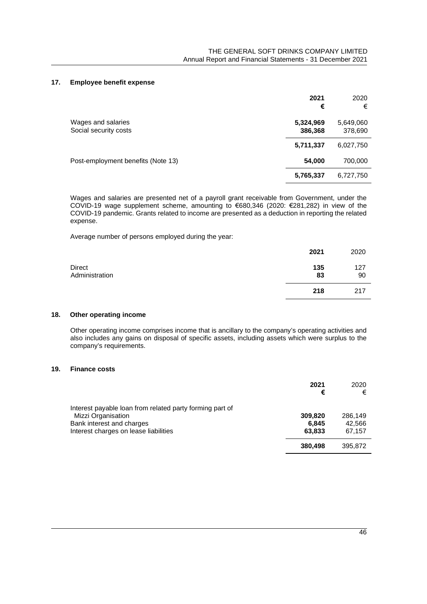## **17. Employee benefit expense**

|                                             | 2021<br>€            | 2020<br>€            |
|---------------------------------------------|----------------------|----------------------|
| Wages and salaries<br>Social security costs | 5,324,969<br>386,368 | 5,649,060<br>378,690 |
|                                             | 5,711,337            | 6,027,750            |
| Post-employment benefits (Note 13)          | 54,000               | 700,000              |
|                                             | 5,765,337            | 6,727,750            |

Wages and salaries are presented net of a payroll grant receivable from Government, under the COVID-19 wage supplement scheme, amounting to €680,346 (2020: €281,282) in view of the COVID-19 pandemic. Grants related to income are presented as a deduction in reporting the related expense.

Average number of persons employed during the year:

|                          | 218       | 217       |
|--------------------------|-----------|-----------|
| Direct<br>Administration | 135<br>83 | 127<br>90 |
|                          | 2021      | 2020      |

## **18. Other operating income**

Other operating income comprises income that is ancillary to the company's operating activities and also includes any gains on disposal of specific assets, including assets which were surplus to the company's requirements.

## **19. Finance costs**

|                                                          | 2021<br>€ | 2020<br>€ |
|----------------------------------------------------------|-----------|-----------|
| Interest payable loan from related party forming part of |           |           |
| Mizzi Organisation                                       | 309,820   | 286.149   |
| Bank interest and charges                                | 6.845     | 42.566    |
| Interest charges on lease liabilities                    | 63.833    | 67,157    |
|                                                          | 380.498   | 395.872   |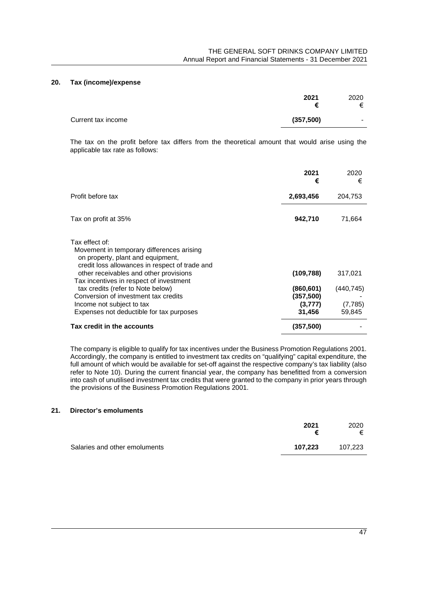## **20. Tax (income)/expense**

|                    | 2021<br>€ | 2020<br>€                |
|--------------------|-----------|--------------------------|
| Current tax income | (357,500) | $\overline{\phantom{0}}$ |

The tax on the profit before tax differs from the theoretical amount that would arise using the applicable tax rate as follows:

|                                                                                                                                                                                               | 2021<br>€                                     | 2020<br>€                      |
|-----------------------------------------------------------------------------------------------------------------------------------------------------------------------------------------------|-----------------------------------------------|--------------------------------|
| Profit before tax                                                                                                                                                                             | 2,693,456                                     | 204,753                        |
| Tax on profit at 35%                                                                                                                                                                          | 942,710                                       | 71,664                         |
| Tax effect of:<br>Movement in temporary differences arising<br>on property, plant and equipment,<br>credit loss allowances in respect of trade and<br>other receivables and other provisions  | (109, 788)                                    | 317,021                        |
| Tax incentives in respect of investment<br>tax credits (refer to Note below)<br>Conversion of investment tax credits<br>Income not subject to tax<br>Expenses not deductible for tax purposes | (860, 601)<br>(357, 500)<br>(3,777)<br>31,456 | (440,745)<br>(7,785)<br>59,845 |
| Tax credit in the accounts                                                                                                                                                                    | (357,500)                                     |                                |

The company is eligible to qualify for tax incentives under the Business Promotion Regulations 2001. Accordingly, the company is entitled to investment tax credits on "qualifying" capital expenditure, the full amount of which would be available for set-off against the respective company's tax liability (also refer to Note 10). During the current financial year, the company has benefitted from a conversion into cash of unutilised investment tax credits that were granted to the company in prior years through the provisions of the Business Promotion Regulations 2001.

### **21. Director's emoluments**

|                               | 2021    | 2020<br>€ |
|-------------------------------|---------|-----------|
| Salaries and other emoluments | 107.223 | 107,223   |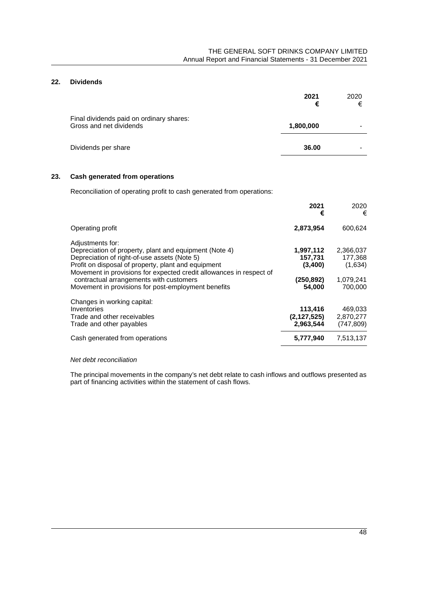## **22. Dividends**

|                                                                     | 2021<br>€ | 2020<br>€ |
|---------------------------------------------------------------------|-----------|-----------|
| Final dividends paid on ordinary shares:<br>Gross and net dividends | 1,800,000 |           |
| Dividends per share                                                 | 36.00     |           |

## **23. Cash generated from operations**

Reconciliation of operating profit to cash generated from operations:

|                                                                                                                                                                                                                                                                                                                                                            | 2021<br>€                                               | 2020<br>€                                               |
|------------------------------------------------------------------------------------------------------------------------------------------------------------------------------------------------------------------------------------------------------------------------------------------------------------------------------------------------------------|---------------------------------------------------------|---------------------------------------------------------|
| Operating profit                                                                                                                                                                                                                                                                                                                                           | 2,873,954                                               | 600,624                                                 |
| Adjustments for:<br>Depreciation of property, plant and equipment (Note 4)<br>Depreciation of right-of-use assets (Note 5)<br>Profit on disposal of property, plant and equipment<br>Movement in provisions for expected credit allowances in respect of<br>contractual arrangements with customers<br>Movement in provisions for post-employment benefits | 1,997,112<br>157,731<br>(3,400)<br>(250, 892)<br>54,000 | 2,366,037<br>177,368<br>(1,634)<br>1,079,241<br>700,000 |
| Changes in working capital:<br>Inventories<br>Trade and other receivables<br>Trade and other payables<br>Cash generated from operations                                                                                                                                                                                                                    | 113,416<br>(2, 127, 525)<br>2.963.544<br>5,777,940      | 469,033<br>2,870,277<br>(747, 809)<br>7,513,137         |

*Net debt reconciliation*

The principal movements in the company's net debt relate to cash inflows and outflows presented as part of financing activities within the statement of cash flows.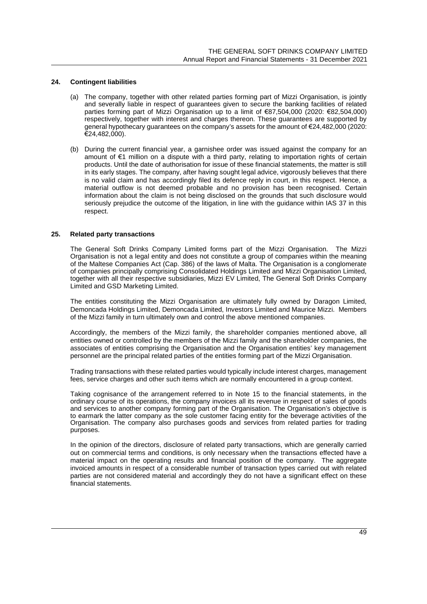## **24. Contingent liabilities**

- (a) The company, together with other related parties forming part of Mizzi Organisation, is jointly and severally liable in respect of guarantees given to secure the banking facilities of related parties forming part of Mizzi Organisation up to a limit of €87,504,000 (2020: €82,504,000) respectively, together with interest and charges thereon. These guarantees are supported by general hypothecary guarantees on the company's assets for the amount of €24,482,000 (2020: €24,482,000).
- (b) During the current financial year, a garnishee order was issued against the company for an amount of €1 million on a dispute with a third party, relating to importation rights of certain products. Until the date of authorisation for issue of these financial statements, the matter is still in its early stages. The company, after having sought legal advice, vigorously believes that there is no valid claim and has accordingly filed its defence reply in court, in this respect. Hence, a material outflow is not deemed probable and no provision has been recognised. Certain information about the claim is not being disclosed on the grounds that such disclosure would seriously prejudice the outcome of the litigation, in line with the guidance within IAS 37 in this respect.

## **25. Related party transactions**

The General Soft Drinks Company Limited forms part of the Mizzi Organisation. The Mizzi Organisation is not a legal entity and does not constitute a group of companies within the meaning of the Maltese Companies Act (Cap. 386) of the laws of Malta. The Organisation is a conglomerate of companies principally comprising Consolidated Holdings Limited and Mizzi Organisation Limited, together with all their respective subsidiaries, Mizzi EV Limited, The General Soft Drinks Company Limited and GSD Marketing Limited.

The entities constituting the Mizzi Organisation are ultimately fully owned by Daragon Limited, Demoncada Holdings Limited, Demoncada Limited, Investors Limited and Maurice Mizzi. Members of the Mizzi family in turn ultimately own and control the above mentioned companies.

Accordingly, the members of the Mizzi family, the shareholder companies mentioned above, all entities owned or controlled by the members of the Mizzi family and the shareholder companies, the associates of entities comprising the Organisation and the Organisation entities' key management personnel are the principal related parties of the entities forming part of the Mizzi Organisation.

Trading transactions with these related parties would typically include interest charges, management fees, service charges and other such items which are normally encountered in a group context.

Taking cognisance of the arrangement referred to in Note 15 to the financial statements, in the ordinary course of its operations, the company invoices all its revenue in respect of sales of goods and services to another company forming part of the Organisation. The Organisation's objective is to earmark the latter company as the sole customer facing entity for the beverage activities of the Organisation. The company also purchases goods and services from related parties for trading purposes.

In the opinion of the directors, disclosure of related party transactions, which are generally carried out on commercial terms and conditions, is only necessary when the transactions effected have a material impact on the operating results and financial position of the company. The aggregate invoiced amounts in respect of a considerable number of transaction types carried out with related parties are not considered material and accordingly they do not have a significant effect on these financial statements.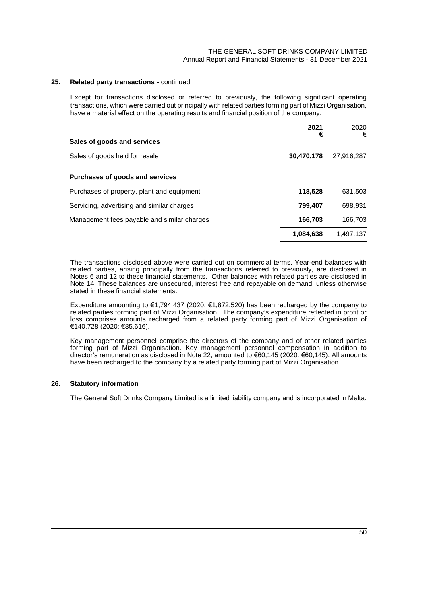## **25. Related party transactions** - continued

Except for transactions disclosed or referred to previously, the following significant operating transactions, which were carried out principally with related parties forming part of Mizzi Organisation, have a material effect on the operating results and financial position of the company:

|                                             | 2021<br>€  | 2020<br>€  |
|---------------------------------------------|------------|------------|
| Sales of goods and services                 |            |            |
| Sales of goods held for resale              | 30,470,178 | 27,916,287 |
| Purchases of goods and services             |            |            |
| Purchases of property, plant and equipment  | 118,528    | 631,503    |
| Servicing, advertising and similar charges  | 799,407    | 698,931    |
| Management fees payable and similar charges | 166,703    | 166,703    |
|                                             | 1,084,638  | 1,497,137  |

The transactions disclosed above were carried out on commercial terms. Year-end balances with related parties, arising principally from the transactions referred to previously, are disclosed in Notes 6 and 12 to these financial statements. Other balances with related parties are disclosed in Note 14. These balances are unsecured, interest free and repayable on demand, unless otherwise stated in these financial statements.

Expenditure amounting to €1,794,437 (2020: €1,872,520) has been recharged by the company to related parties forming part of Mizzi Organisation. The company's expenditure reflected in profit or loss comprises amounts recharged from a related party forming part of Mizzi Organisation of €140,728 (2020: €85,616).

Key management personnel comprise the directors of the company and of other related parties forming part of Mizzi Organisation. Key management personnel compensation in addition to director's remuneration as disclosed in Note 22, amounted to €60,145 (2020: €60,145). All amounts have been recharged to the company by a related party forming part of Mizzi Organisation.

## **26. Statutory information**

The General Soft Drinks Company Limited is a limited liability company and is incorporated in Malta.